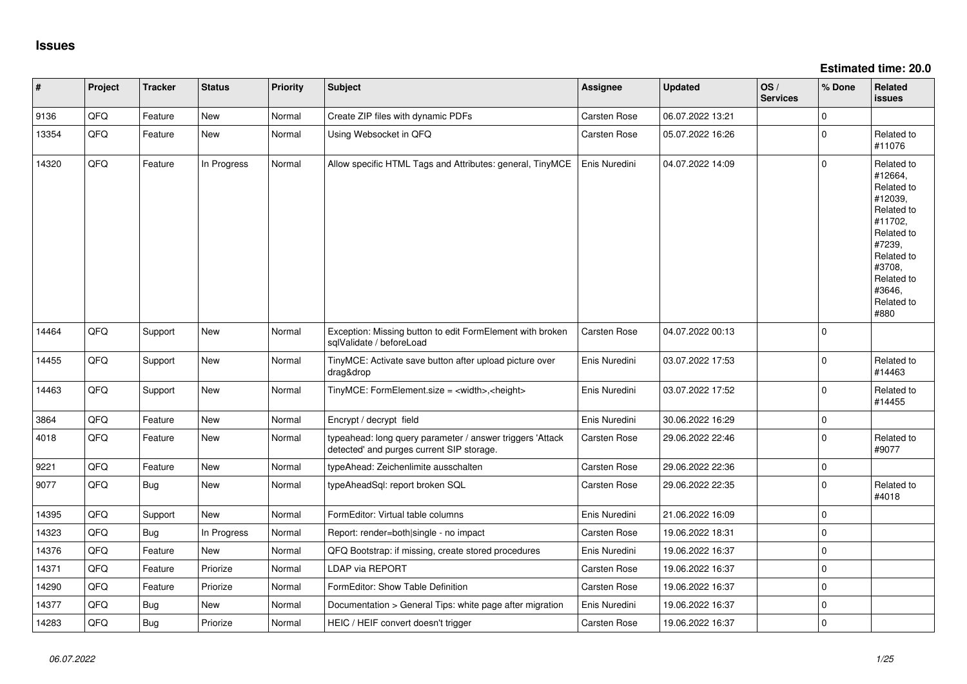**Estimated time: 20.0**

| #     | Project | <b>Tracker</b> | <b>Status</b> | Priority | Subject                                                                                                | <b>Assignee</b> | Updated          | OS/<br><b>Services</b> | % Done      | Related<br><b>issues</b>                                                                                                                                              |
|-------|---------|----------------|---------------|----------|--------------------------------------------------------------------------------------------------------|-----------------|------------------|------------------------|-------------|-----------------------------------------------------------------------------------------------------------------------------------------------------------------------|
| 9136  | QFQ     | Feature        | <b>New</b>    | Normal   | Create ZIP files with dynamic PDFs                                                                     | Carsten Rose    | 06.07.2022 13:21 |                        | $\mathbf 0$ |                                                                                                                                                                       |
| 13354 | QFQ     | Feature        | <b>New</b>    | Normal   | Using Websocket in QFQ                                                                                 | Carsten Rose    | 05.07.2022 16:26 |                        | 0           | Related to<br>#11076                                                                                                                                                  |
| 14320 | QFQ     | Feature        | In Progress   | Normal   | Allow specific HTML Tags and Attributes: general, TinyMCE                                              | Enis Nuredini   | 04.07.2022 14:09 |                        | $\mathbf 0$ | Related to<br>#12664,<br>Related to<br>#12039,<br>Related to<br>#11702,<br>Related to<br>#7239,<br>Related to<br>#3708,<br>Related to<br>#3646,<br>Related to<br>#880 |
| 14464 | QFQ     | Support        | <b>New</b>    | Normal   | Exception: Missing button to edit FormElement with broken<br>sqlValidate / beforeLoad                  | Carsten Rose    | 04.07.2022 00:13 |                        | $\Omega$    |                                                                                                                                                                       |
| 14455 | QFQ     | Support        | <b>New</b>    | Normal   | TinyMCE: Activate save button after upload picture over<br>drag&drop                                   | Enis Nuredini   | 03.07.2022 17:53 |                        | $\mathbf 0$ | Related to<br>#14463                                                                                                                                                  |
| 14463 | QFQ     | Support        | <b>New</b>    | Normal   | TinyMCE: FormElement.size = <width>,<height></height></width>                                          | Enis Nuredini   | 03.07.2022 17:52 |                        | $\Omega$    | Related to<br>#14455                                                                                                                                                  |
| 3864  | QFQ     | Feature        | <b>New</b>    | Normal   | Encrypt / decrypt field                                                                                | Enis Nuredini   | 30.06.2022 16:29 |                        | $\mathbf 0$ |                                                                                                                                                                       |
| 4018  | QFQ     | Feature        | <b>New</b>    | Normal   | typeahead: long query parameter / answer triggers 'Attack<br>detected' and purges current SIP storage. | Carsten Rose    | 29.06.2022 22:46 |                        | $\mathbf 0$ | Related to<br>#9077                                                                                                                                                   |
| 9221  | QFQ     | Feature        | <b>New</b>    | Normal   | typeAhead: Zeichenlimite ausschalten                                                                   | Carsten Rose    | 29.06.2022 22:36 |                        | $\mathbf 0$ |                                                                                                                                                                       |
| 9077  | QFQ     | Bug            | <b>New</b>    | Normal   | typeAheadSql: report broken SQL                                                                        | Carsten Rose    | 29.06.2022 22:35 |                        | $\mathbf 0$ | Related to<br>#4018                                                                                                                                                   |
| 14395 | QFQ     | Support        | <b>New</b>    | Normal   | FormEditor: Virtual table columns                                                                      | Enis Nuredini   | 21.06.2022 16:09 |                        | $\mathbf 0$ |                                                                                                                                                                       |
| 14323 | QFQ     | <b>Bug</b>     | In Progress   | Normal   | Report: render=both single - no impact                                                                 | Carsten Rose    | 19.06.2022 18:31 |                        | $\pmb{0}$   |                                                                                                                                                                       |
| 14376 | QFQ     | Feature        | <b>New</b>    | Normal   | QFQ Bootstrap: if missing, create stored procedures                                                    | Enis Nuredini   | 19.06.2022 16:37 |                        | $\mathbf 0$ |                                                                                                                                                                       |
| 14371 | QFQ     | Feature        | Priorize      | Normal   | <b>LDAP via REPORT</b>                                                                                 | Carsten Rose    | 19.06.2022 16:37 |                        | $\mathbf 0$ |                                                                                                                                                                       |
| 14290 | QFQ     | Feature        | Priorize      | Normal   | FormEditor: Show Table Definition                                                                      | Carsten Rose    | 19.06.2022 16:37 |                        | $\mathbf 0$ |                                                                                                                                                                       |
| 14377 | QFQ     | <b>Bug</b>     | New           | Normal   | Documentation > General Tips: white page after migration                                               | Enis Nuredini   | 19.06.2022 16:37 |                        | $\mathbf 0$ |                                                                                                                                                                       |
| 14283 | QFQ     | <b>Bug</b>     | Priorize      | Normal   | HEIC / HEIF convert doesn't trigger                                                                    | Carsten Rose    | 19.06.2022 16:37 |                        | $\Omega$    |                                                                                                                                                                       |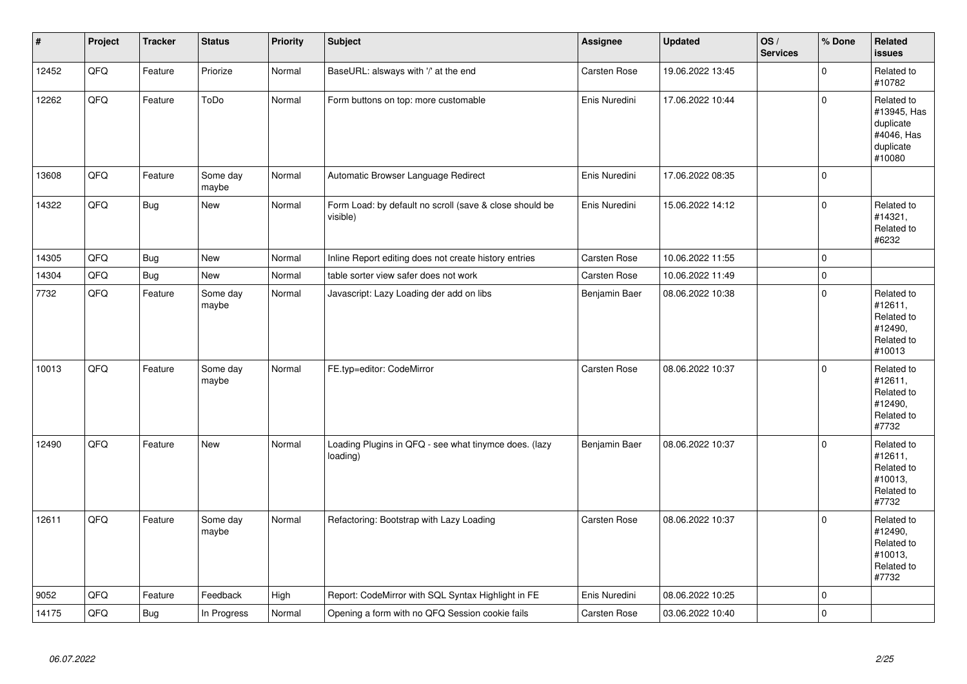| $\pmb{\#}$ | Project | <b>Tracker</b> | <b>Status</b>     | <b>Priority</b> | <b>Subject</b>                                                      | <b>Assignee</b>     | <b>Updated</b>   | OS/<br><b>Services</b> | % Done       | <b>Related</b><br><b>issues</b>                                             |
|------------|---------|----------------|-------------------|-----------------|---------------------------------------------------------------------|---------------------|------------------|------------------------|--------------|-----------------------------------------------------------------------------|
| 12452      | QFQ     | Feature        | Priorize          | Normal          | BaseURL: alsways with '/' at the end                                | <b>Carsten Rose</b> | 19.06.2022 13:45 |                        | $\mathbf{0}$ | Related to<br>#10782                                                        |
| 12262      | QFQ     | Feature        | ToDo              | Normal          | Form buttons on top: more customable                                | Enis Nuredini       | 17.06.2022 10:44 |                        | $\mathbf 0$  | Related to<br>#13945, Has<br>duplicate<br>#4046, Has<br>duplicate<br>#10080 |
| 13608      | QFQ     | Feature        | Some day<br>maybe | Normal          | Automatic Browser Language Redirect                                 | Enis Nuredini       | 17.06.2022 08:35 |                        | $\mathbf 0$  |                                                                             |
| 14322      | QFQ     | <b>Bug</b>     | New               | Normal          | Form Load: by default no scroll (save & close should be<br>visible) | Enis Nuredini       | 15.06.2022 14:12 |                        | $\mathbf 0$  | Related to<br>#14321,<br>Related to<br>#6232                                |
| 14305      | QFQ     | Bug            | <b>New</b>        | Normal          | Inline Report editing does not create history entries               | <b>Carsten Rose</b> | 10.06.2022 11:55 |                        | 0            |                                                                             |
| 14304      | QFQ     | Bug            | <b>New</b>        | Normal          | table sorter view safer does not work                               | <b>Carsten Rose</b> | 10.06.2022 11:49 |                        | $\mathbf 0$  |                                                                             |
| 7732       | QFQ     | Feature        | Some day<br>maybe | Normal          | Javascript: Lazy Loading der add on libs                            | Benjamin Baer       | 08.06.2022 10:38 |                        | $\mathbf 0$  | Related to<br>#12611,<br>Related to<br>#12490,<br>Related to<br>#10013      |
| 10013      | QFQ     | Feature        | Some day<br>maybe | Normal          | FE.typ=editor: CodeMirror                                           | <b>Carsten Rose</b> | 08.06.2022 10:37 |                        | $\mathbf 0$  | Related to<br>#12611,<br>Related to<br>#12490,<br>Related to<br>#7732       |
| 12490      | QFQ     | Feature        | <b>New</b>        | Normal          | Loading Plugins in QFQ - see what tinymce does. (lazy<br>loading)   | Benjamin Baer       | 08.06.2022 10:37 |                        | $\mathbf 0$  | Related to<br>#12611,<br>Related to<br>#10013,<br>Related to<br>#7732       |
| 12611      | QFQ     | Feature        | Some day<br>maybe | Normal          | Refactoring: Bootstrap with Lazy Loading                            | Carsten Rose        | 08.06.2022 10:37 |                        | $\mathbf{0}$ | Related to<br>#12490,<br>Related to<br>#10013,<br>Related to<br>#7732       |
| 9052       | QFQ     | Feature        | Feedback          | High            | Report: CodeMirror with SQL Syntax Highlight in FE                  | Enis Nuredini       | 08.06.2022 10:25 |                        | $\mathbf 0$  |                                                                             |
| 14175      | QFQ     | <b>Bug</b>     | In Progress       | Normal          | Opening a form with no QFQ Session cookie fails                     | Carsten Rose        | 03.06.2022 10:40 |                        | $\pmb{0}$    |                                                                             |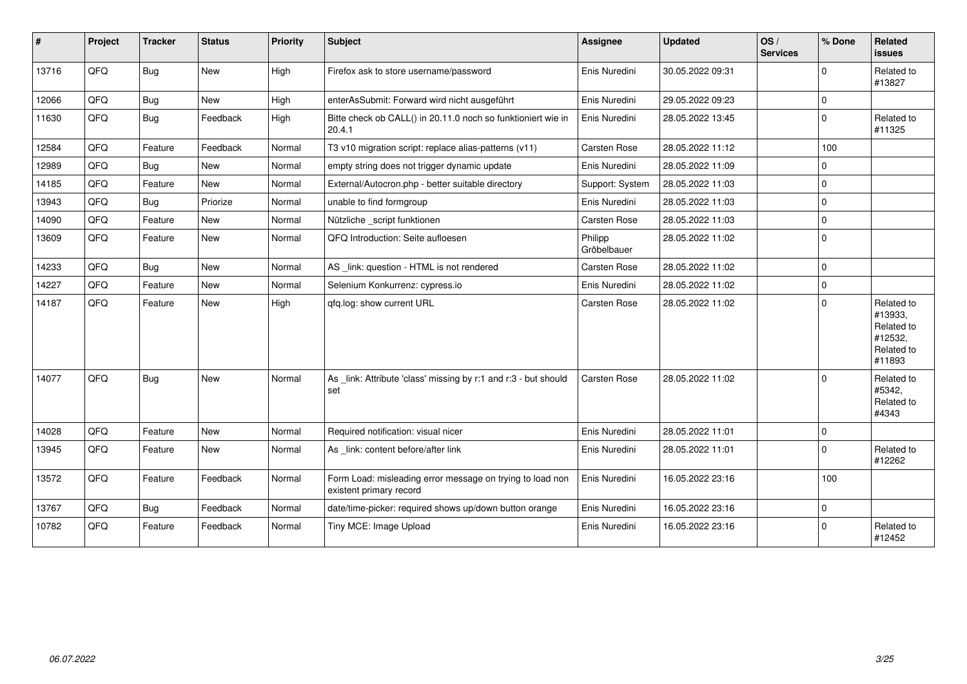| #     | Project | <b>Tracker</b> | <b>Status</b> | <b>Priority</b> | Subject                                                                              | Assignee               | <b>Updated</b>   | OS/<br><b>Services</b> | % Done      | Related<br><b>issues</b>                                               |
|-------|---------|----------------|---------------|-----------------|--------------------------------------------------------------------------------------|------------------------|------------------|------------------------|-------------|------------------------------------------------------------------------|
| 13716 | QFQ     | Bug            | New           | High            | Firefox ask to store username/password                                               | Enis Nuredini          | 30.05.2022 09:31 |                        | 0           | Related to<br>#13827                                                   |
| 12066 | QFQ     | <b>Bug</b>     | New           | High            | enterAsSubmit: Forward wird nicht ausgeführt                                         | Enis Nuredini          | 29.05.2022 09:23 |                        | 0           |                                                                        |
| 11630 | QFQ     | <b>Bug</b>     | Feedback      | High            | Bitte check ob CALL() in 20.11.0 noch so funktioniert wie in<br>20.4.1               | Enis Nuredini          | 28.05.2022 13:45 |                        | 0           | Related to<br>#11325                                                   |
| 12584 | QFQ     | Feature        | Feedback      | Normal          | T3 v10 migration script: replace alias-patterns (v11)                                | Carsten Rose           | 28.05.2022 11:12 |                        | 100         |                                                                        |
| 12989 | QFQ     | Bug            | New           | Normal          | empty string does not trigger dynamic update                                         | Enis Nuredini          | 28.05.2022 11:09 |                        | 0           |                                                                        |
| 14185 | QFQ     | Feature        | New           | Normal          | External/Autocron.php - better suitable directory                                    | Support: System        | 28.05.2022 11:03 |                        | 0           |                                                                        |
| 13943 | QFQ     | <b>Bug</b>     | Priorize      | Normal          | unable to find formgroup                                                             | Enis Nuredini          | 28.05.2022 11:03 |                        | 0           |                                                                        |
| 14090 | QFQ     | Feature        | New           | Normal          | Nützliche _script funktionen                                                         | Carsten Rose           | 28.05.2022 11:03 |                        | 0           |                                                                        |
| 13609 | QFQ     | Feature        | New           | Normal          | QFQ Introduction: Seite aufloesen                                                    | Philipp<br>Gröbelbauer | 28.05.2022 11:02 |                        | 0           |                                                                        |
| 14233 | QFQ     | Bug            | New           | Normal          | AS _link: question - HTML is not rendered                                            | Carsten Rose           | 28.05.2022 11:02 |                        | 0           |                                                                        |
| 14227 | QFQ     | Feature        | <b>New</b>    | Normal          | Selenium Konkurrenz: cypress.io                                                      | Enis Nuredini          | 28.05.2022 11:02 |                        | 0           |                                                                        |
| 14187 | QFQ     | Feature        | New           | High            | qfq.log: show current URL                                                            | Carsten Rose           | 28.05.2022 11:02 |                        | $\mathbf 0$ | Related to<br>#13933,<br>Related to<br>#12532,<br>Related to<br>#11893 |
| 14077 | QFQ     | <b>Bug</b>     | New           | Normal          | As _link: Attribute 'class' missing by r:1 and r:3 - but should<br>set               | <b>Carsten Rose</b>    | 28.05.2022 11:02 |                        | $\mathbf 0$ | Related to<br>#5342,<br>Related to<br>#4343                            |
| 14028 | QFQ     | Feature        | <b>New</b>    | Normal          | Required notification: visual nicer                                                  | Enis Nuredini          | 28.05.2022 11:01 |                        | 0           |                                                                        |
| 13945 | QFQ     | Feature        | New           | Normal          | As _link: content before/after link                                                  | Enis Nuredini          | 28.05.2022 11:01 |                        | 0           | Related to<br>#12262                                                   |
| 13572 | QFQ     | Feature        | Feedback      | Normal          | Form Load: misleading error message on trying to load non<br>existent primary record | Enis Nuredini          | 16.05.2022 23:16 |                        | 100         |                                                                        |
| 13767 | QFQ     | Bug            | Feedback      | Normal          | date/time-picker: required shows up/down button orange                               | Enis Nuredini          | 16.05.2022 23:16 |                        | 0           |                                                                        |
| 10782 | QFQ     | Feature        | Feedback      | Normal          | Tiny MCE: Image Upload                                                               | Enis Nuredini          | 16.05.2022 23:16 |                        | 0           | Related to<br>#12452                                                   |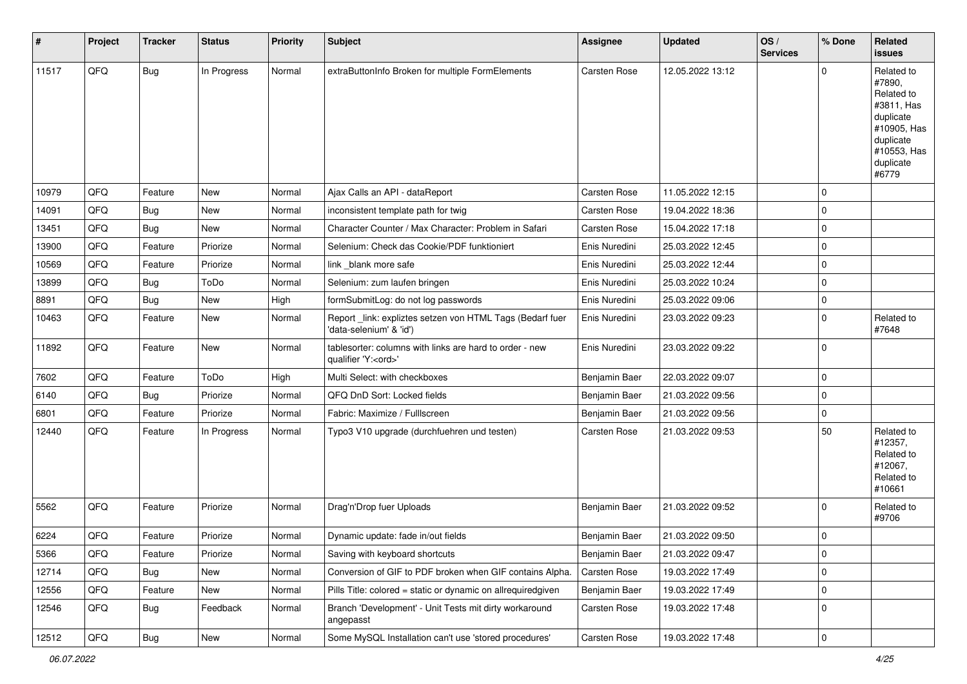| #     | Project | <b>Tracker</b> | <b>Status</b> | <b>Priority</b> | Subject                                                                               | <b>Assignee</b>     | <b>Updated</b>   | OS/<br><b>Services</b> | % Done      | <b>Related</b><br><b>issues</b>                                                                                                |
|-------|---------|----------------|---------------|-----------------|---------------------------------------------------------------------------------------|---------------------|------------------|------------------------|-------------|--------------------------------------------------------------------------------------------------------------------------------|
| 11517 | QFQ     | <b>Bug</b>     | In Progress   | Normal          | extraButtonInfo Broken for multiple FormElements                                      | Carsten Rose        | 12.05.2022 13:12 |                        | $\Omega$    | Related to<br>#7890.<br>Related to<br>#3811, Has<br>duplicate<br>#10905, Has<br>duplicate<br>#10553, Has<br>duplicate<br>#6779 |
| 10979 | QFQ     | Feature        | <b>New</b>    | Normal          | Ajax Calls an API - dataReport                                                        | <b>Carsten Rose</b> | 11.05.2022 12:15 |                        | $\mathbf 0$ |                                                                                                                                |
| 14091 | QFQ     | Bug            | <b>New</b>    | Normal          | inconsistent template path for twig                                                   | <b>Carsten Rose</b> | 19.04.2022 18:36 |                        | $\mathbf 0$ |                                                                                                                                |
| 13451 | QFQ     | Bug            | <b>New</b>    | Normal          | Character Counter / Max Character: Problem in Safari                                  | <b>Carsten Rose</b> | 15.04.2022 17:18 |                        | $\pmb{0}$   |                                                                                                                                |
| 13900 | QFQ     | Feature        | Priorize      | Normal          | Selenium: Check das Cookie/PDF funktioniert                                           | Enis Nuredini       | 25.03.2022 12:45 |                        | $\mathbf 0$ |                                                                                                                                |
| 10569 | QFQ     | Feature        | Priorize      | Normal          | link _blank more safe                                                                 | Enis Nuredini       | 25.03.2022 12:44 |                        | $\mathbf 0$ |                                                                                                                                |
| 13899 | QFQ     | <b>Bug</b>     | ToDo          | Normal          | Selenium: zum laufen bringen                                                          | Enis Nuredini       | 25.03.2022 10:24 |                        | $\pmb{0}$   |                                                                                                                                |
| 8891  | QFQ     | Bug            | New           | High            | formSubmitLog: do not log passwords                                                   | Enis Nuredini       | 25.03.2022 09:06 |                        | $\mathbf 0$ |                                                                                                                                |
| 10463 | QFQ     | Feature        | <b>New</b>    | Normal          | Report _link: expliztes setzen von HTML Tags (Bedarf fuer<br>'data-selenium' & 'id')  | Enis Nuredini       | 23.03.2022 09:23 |                        | $\mathbf 0$ | Related to<br>#7648                                                                                                            |
| 11892 | QFQ     | Feature        | <b>New</b>    | Normal          | tablesorter: columns with links are hard to order - new<br>qualifier 'Y: <ord>'</ord> | Enis Nuredini       | 23.03.2022 09:22 |                        | $\mathbf 0$ |                                                                                                                                |
| 7602  | QFQ     | Feature        | ToDo          | High            | Multi Select: with checkboxes                                                         | Benjamin Baer       | 22.03.2022 09:07 |                        | $\mathbf 0$ |                                                                                                                                |
| 6140  | QFQ     | <b>Bug</b>     | Priorize      | Normal          | QFQ DnD Sort: Locked fields                                                           | Benjamin Baer       | 21.03.2022 09:56 |                        | $\mathbf 0$ |                                                                                                                                |
| 6801  | QFQ     | Feature        | Priorize      | Normal          | Fabric: Maximize / Fulllscreen                                                        | Benjamin Baer       | 21.03.2022 09:56 |                        | $\mathbf 0$ |                                                                                                                                |
| 12440 | QFQ     | Feature        | In Progress   | Normal          | Typo3 V10 upgrade (durchfuehren und testen)                                           | Carsten Rose        | 21.03.2022 09:53 |                        | 50          | Related to<br>#12357,<br>Related to<br>#12067,<br>Related to<br>#10661                                                         |
| 5562  | QFQ     | Feature        | Priorize      | Normal          | Drag'n'Drop fuer Uploads                                                              | Benjamin Baer       | 21.03.2022 09:52 |                        | $\Omega$    | Related to<br>#9706                                                                                                            |
| 6224  | QFQ     | Feature        | Priorize      | Normal          | Dynamic update: fade in/out fields                                                    | Benjamin Baer       | 21.03.2022 09:50 |                        | $\mathbf 0$ |                                                                                                                                |
| 5366  | QFQ     | Feature        | Priorize      | Normal          | Saving with keyboard shortcuts                                                        | Benjamin Baer       | 21.03.2022 09:47 |                        | 0           |                                                                                                                                |
| 12714 | QFQ     | Bug            | New           | Normal          | Conversion of GIF to PDF broken when GIF contains Alpha.                              | Carsten Rose        | 19.03.2022 17:49 |                        | 0           |                                                                                                                                |
| 12556 | QFQ     | Feature        | New           | Normal          | Pills Title: colored = static or dynamic on allrequiredgiven                          | Benjamin Baer       | 19.03.2022 17:49 |                        | $\mathbf 0$ |                                                                                                                                |
| 12546 | QFQ     | <b>Bug</b>     | Feedback      | Normal          | Branch 'Development' - Unit Tests mit dirty workaround<br>angepasst                   | Carsten Rose        | 19.03.2022 17:48 |                        | $\mathbf 0$ |                                                                                                                                |
| 12512 | QFG     | Bug            | New           | Normal          | Some MySQL Installation can't use 'stored procedures'                                 | Carsten Rose        | 19.03.2022 17:48 |                        | 0           |                                                                                                                                |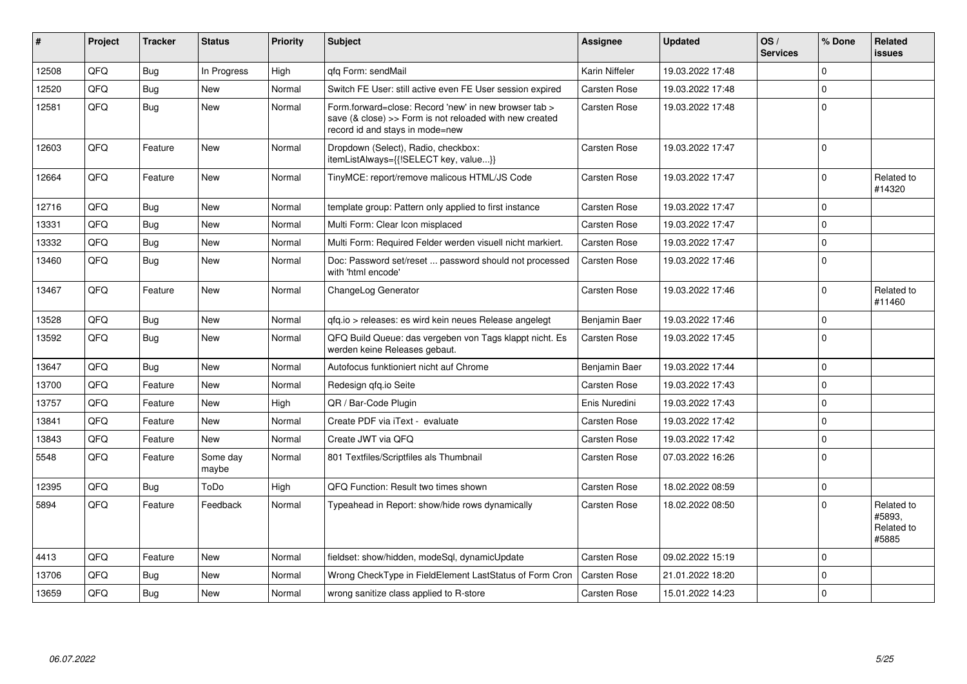| #     | Project | <b>Tracker</b> | <b>Status</b>     | <b>Priority</b> | Subject                                                                                                                                             | <b>Assignee</b>     | <b>Updated</b>   | OS/<br><b>Services</b> | % Done       | Related<br>issues                           |
|-------|---------|----------------|-------------------|-----------------|-----------------------------------------------------------------------------------------------------------------------------------------------------|---------------------|------------------|------------------------|--------------|---------------------------------------------|
| 12508 | QFQ     | Bug            | In Progress       | High            | qfq Form: sendMail                                                                                                                                  | Karin Niffeler      | 19.03.2022 17:48 |                        | $\Omega$     |                                             |
| 12520 | QFQ     | Bug            | <b>New</b>        | Normal          | Switch FE User: still active even FE User session expired                                                                                           | <b>Carsten Rose</b> | 19.03.2022 17:48 |                        | $\mathbf 0$  |                                             |
| 12581 | QFQ     | Bug            | <b>New</b>        | Normal          | Form.forward=close: Record 'new' in new browser tab ><br>save (& close) >> Form is not reloaded with new created<br>record id and stays in mode=new | <b>Carsten Rose</b> | 19.03.2022 17:48 |                        | $\mathbf 0$  |                                             |
| 12603 | QFQ     | Feature        | <b>New</b>        | Normal          | Dropdown (Select), Radio, checkbox:<br>itemListAlways={{!SELECT key, value}}                                                                        | <b>Carsten Rose</b> | 19.03.2022 17:47 |                        | $\mathbf{0}$ |                                             |
| 12664 | QFQ     | Feature        | <b>New</b>        | Normal          | TinyMCE: report/remove malicous HTML/JS Code                                                                                                        | Carsten Rose        | 19.03.2022 17:47 |                        | $\Omega$     | Related to<br>#14320                        |
| 12716 | QFQ     | Bug            | New               | Normal          | template group: Pattern only applied to first instance                                                                                              | <b>Carsten Rose</b> | 19.03.2022 17:47 |                        | $\Omega$     |                                             |
| 13331 | QFQ     | Bug            | <b>New</b>        | Normal          | Multi Form: Clear Icon misplaced                                                                                                                    | Carsten Rose        | 19.03.2022 17:47 |                        | $\mathbf 0$  |                                             |
| 13332 | QFQ     | Bug            | <b>New</b>        | Normal          | Multi Form: Required Felder werden visuell nicht markiert.                                                                                          | Carsten Rose        | 19.03.2022 17:47 |                        | $\mathbf 0$  |                                             |
| 13460 | QFQ     | Bug            | <b>New</b>        | Normal          | Doc: Password set/reset  password should not processed<br>with 'html encode'                                                                        | Carsten Rose        | 19.03.2022 17:46 |                        | $\mathbf{0}$ |                                             |
| 13467 | QFQ     | Feature        | <b>New</b>        | Normal          | ChangeLog Generator                                                                                                                                 | Carsten Rose        | 19.03.2022 17:46 |                        | $\Omega$     | Related to<br>#11460                        |
| 13528 | QFQ     | Bug            | <b>New</b>        | Normal          | gfg.io > releases: es wird kein neues Release angelegt                                                                                              | Benjamin Baer       | 19.03.2022 17:46 |                        | $\mathbf 0$  |                                             |
| 13592 | QFQ     | Bug            | <b>New</b>        | Normal          | QFQ Build Queue: das vergeben von Tags klappt nicht. Es<br>werden keine Releases gebaut.                                                            | Carsten Rose        | 19.03.2022 17:45 |                        | $\mathbf 0$  |                                             |
| 13647 | QFQ     | Bug            | <b>New</b>        | Normal          | Autofocus funktioniert nicht auf Chrome                                                                                                             | Benjamin Baer       | 19.03.2022 17:44 |                        | $\mathbf 0$  |                                             |
| 13700 | QFQ     | Feature        | <b>New</b>        | Normal          | Redesign gfg.io Seite                                                                                                                               | Carsten Rose        | 19.03.2022 17:43 |                        | $\mathbf 0$  |                                             |
| 13757 | QFQ     | Feature        | <b>New</b>        | High            | QR / Bar-Code Plugin                                                                                                                                | Enis Nuredini       | 19.03.2022 17:43 |                        | $\mathbf 0$  |                                             |
| 13841 | QFQ     | Feature        | New               | Normal          | Create PDF via iText - evaluate                                                                                                                     | <b>Carsten Rose</b> | 19.03.2022 17:42 |                        | $\mathbf 0$  |                                             |
| 13843 | QFQ     | Feature        | <b>New</b>        | Normal          | Create JWT via QFQ                                                                                                                                  | <b>Carsten Rose</b> | 19.03.2022 17:42 |                        | $\mathbf 0$  |                                             |
| 5548  | QFQ     | Feature        | Some day<br>maybe | Normal          | 801 Textfiles/Scriptfiles als Thumbnail                                                                                                             | <b>Carsten Rose</b> | 07.03.2022 16:26 |                        | $\mathbf 0$  |                                             |
| 12395 | QFQ     | Bug            | ToDo              | High            | QFQ Function: Result two times shown                                                                                                                | Carsten Rose        | 18.02.2022 08:59 |                        | $\mathbf 0$  |                                             |
| 5894  | QFQ     | Feature        | Feedback          | Normal          | Typeahead in Report: show/hide rows dynamically                                                                                                     | <b>Carsten Rose</b> | 18.02.2022 08:50 |                        | $\Omega$     | Related to<br>#5893.<br>Related to<br>#5885 |
| 4413  | QFQ     | Feature        | <b>New</b>        | Normal          | fieldset: show/hidden, modeSql, dynamicUpdate                                                                                                       | <b>Carsten Rose</b> | 09.02.2022 15:19 |                        | $\Omega$     |                                             |
| 13706 | QFQ     | <b>Bug</b>     | <b>New</b>        | Normal          | Wrong CheckType in FieldElement LastStatus of Form Cron                                                                                             | <b>Carsten Rose</b> | 21.01.2022 18:20 |                        | $\mathbf 0$  |                                             |
| 13659 | QFQ     | Bug            | New               | Normal          | wrong sanitize class applied to R-store                                                                                                             | Carsten Rose        | 15.01.2022 14:23 |                        | $\pmb{0}$    |                                             |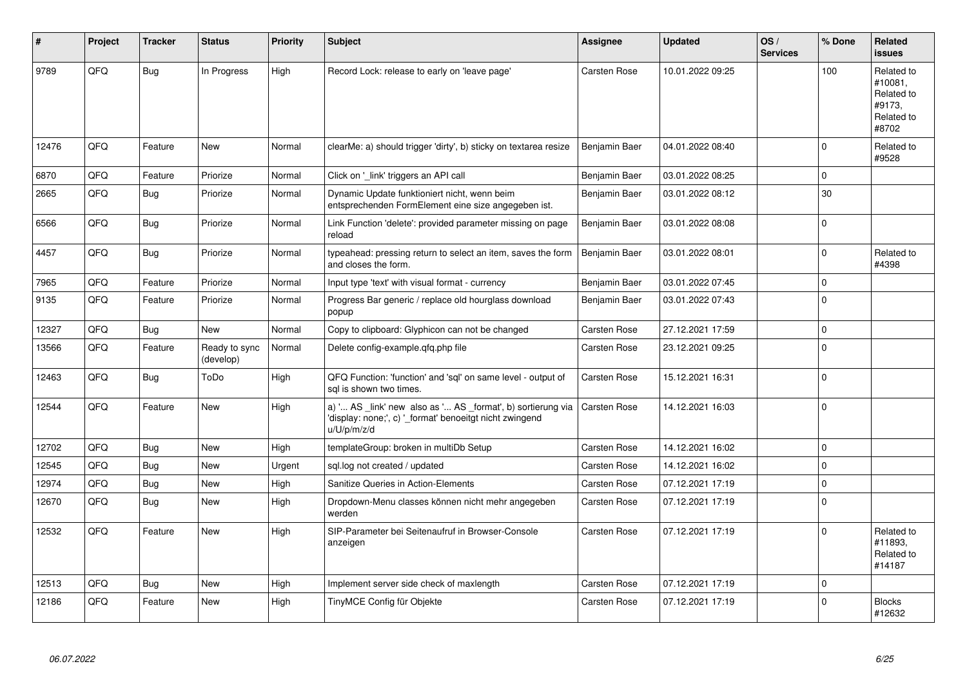| #     | Project | <b>Tracker</b> | <b>Status</b>              | <b>Priority</b> | <b>Subject</b>                                                                                                                        | Assignee            | <b>Updated</b>   | OS/<br><b>Services</b> | % Done       | Related<br><b>issues</b>                                             |
|-------|---------|----------------|----------------------------|-----------------|---------------------------------------------------------------------------------------------------------------------------------------|---------------------|------------------|------------------------|--------------|----------------------------------------------------------------------|
| 9789  | QFQ     | <b>Bug</b>     | In Progress                | High            | Record Lock: release to early on 'leave page'                                                                                         | Carsten Rose        | 10.01.2022 09:25 |                        | 100          | Related to<br>#10081.<br>Related to<br>#9173.<br>Related to<br>#8702 |
| 12476 | QFQ     | Feature        | New                        | Normal          | clearMe: a) should trigger 'dirty', b) sticky on textarea resize                                                                      | Benjamin Baer       | 04.01.2022 08:40 |                        | $\mathbf 0$  | Related to<br>#9528                                                  |
| 6870  | QFQ     | Feature        | Priorize                   | Normal          | Click on 'link' triggers an API call                                                                                                  | Benjamin Baer       | 03.01.2022 08:25 |                        | $\mathbf 0$  |                                                                      |
| 2665  | QFQ     | Bug            | Priorize                   | Normal          | Dynamic Update funktioniert nicht, wenn beim<br>entsprechenden FormElement eine size angegeben ist.                                   | Benjamin Baer       | 03.01.2022 08:12 |                        | $30\,$       |                                                                      |
| 6566  | QFQ     | Bug            | Priorize                   | Normal          | Link Function 'delete': provided parameter missing on page<br>reload                                                                  | Benjamin Baer       | 03.01.2022 08:08 |                        | $\Omega$     |                                                                      |
| 4457  | QFQ     | <b>Bug</b>     | Priorize                   | Normal          | typeahead: pressing return to select an item, saves the form<br>and closes the form.                                                  | Benjamin Baer       | 03.01.2022 08:01 |                        | $\Omega$     | Related to<br>#4398                                                  |
| 7965  | QFQ     | Feature        | Priorize                   | Normal          | Input type 'text' with visual format - currency                                                                                       | Benjamin Baer       | 03.01.2022 07:45 |                        | $\mathbf 0$  |                                                                      |
| 9135  | QFQ     | Feature        | Priorize                   | Normal          | Progress Bar generic / replace old hourglass download<br>popup                                                                        | Benjamin Baer       | 03.01.2022 07:43 |                        | $\mathbf{0}$ |                                                                      |
| 12327 | QFQ     | Bug            | <b>New</b>                 | Normal          | Copy to clipboard: Glyphicon can not be changed                                                                                       | Carsten Rose        | 27.12.2021 17:59 |                        | $\mathbf 0$  |                                                                      |
| 13566 | QFQ     | Feature        | Ready to sync<br>(develop) | Normal          | Delete config-example.qfq.php file                                                                                                    | Carsten Rose        | 23.12.2021 09:25 |                        | $\pmb{0}$    |                                                                      |
| 12463 | QFQ     | <b>Bug</b>     | ToDo                       | High            | QFQ Function: 'function' and 'sql' on same level - output of<br>sal is shown two times.                                               | Carsten Rose        | 15.12.2021 16:31 |                        | $\Omega$     |                                                                      |
| 12544 | QFQ     | Feature        | <b>New</b>                 | High            | a) ' AS _link' new also as ' AS _format', b) sortierung via<br>'display: none;', c) '_format' benoeitgt nicht zwingend<br>u/U/p/m/z/d | <b>Carsten Rose</b> | 14.12.2021 16:03 |                        | $\mathbf 0$  |                                                                      |
| 12702 | QFQ     | <b>Bug</b>     | <b>New</b>                 | High            | templateGroup: broken in multiDb Setup                                                                                                | Carsten Rose        | 14.12.2021 16:02 |                        | $\pmb{0}$    |                                                                      |
| 12545 | QFQ     | Bug            | <b>New</b>                 | Urgent          | sql.log not created / updated                                                                                                         | Carsten Rose        | 14.12.2021 16:02 |                        | $\mathbf 0$  |                                                                      |
| 12974 | QFQ     | Bug            | <b>New</b>                 | High            | Sanitize Queries in Action-Elements                                                                                                   | Carsten Rose        | 07.12.2021 17:19 |                        | $\mathbf 0$  |                                                                      |
| 12670 | QFQ     | Bug            | New                        | High            | Dropdown-Menu classes können nicht mehr angegeben<br>werden                                                                           | <b>Carsten Rose</b> | 07.12.2021 17:19 |                        | $\mathbf 0$  |                                                                      |
| 12532 | QFQ     | Feature        | <b>New</b>                 | High            | SIP-Parameter bei Seitenaufruf in Browser-Console<br>anzeigen                                                                         | Carsten Rose        | 07.12.2021 17:19 |                        | $\mathbf 0$  | Related to<br>#11893.<br>Related to<br>#14187                        |
| 12513 | QFQ     | Bug            | <b>New</b>                 | High            | Implement server side check of maxlength                                                                                              | <b>Carsten Rose</b> | 07.12.2021 17:19 |                        | $\mathbf 0$  |                                                                      |
| 12186 | QFQ     | Feature        | New                        | High            | TinyMCE Config für Objekte                                                                                                            | Carsten Rose        | 07.12.2021 17:19 |                        | $\mathbf 0$  | <b>Blocks</b><br>#12632                                              |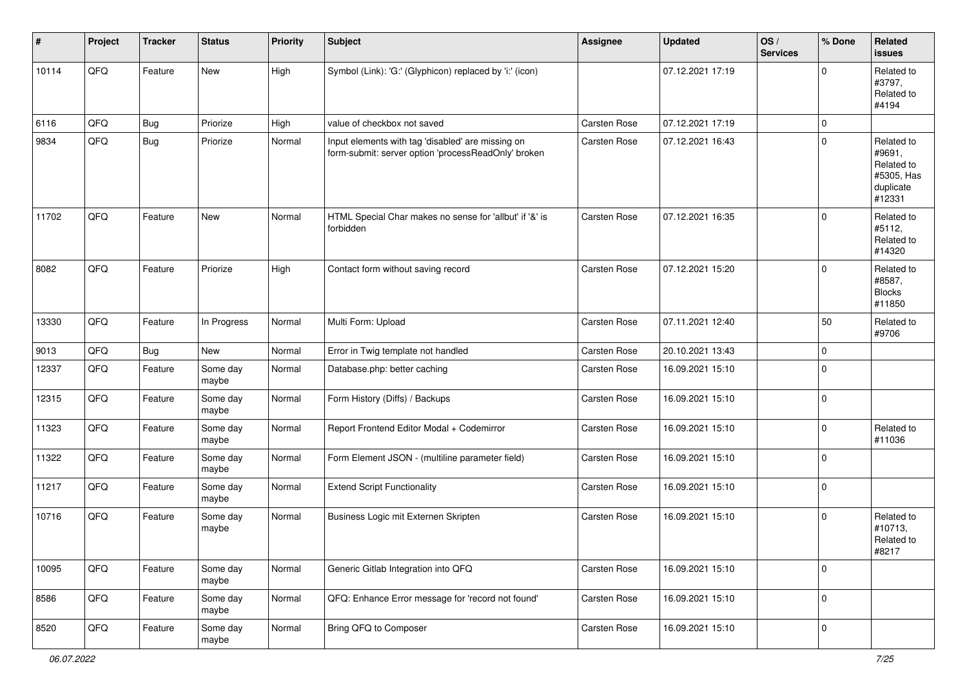| $\vert$ # | Project | <b>Tracker</b> | <b>Status</b>     | <b>Priority</b> | <b>Subject</b>                                                                                           | Assignee            | <b>Updated</b>   | OS/<br><b>Services</b> | % Done              | Related<br><b>issues</b>                                                |
|-----------|---------|----------------|-------------------|-----------------|----------------------------------------------------------------------------------------------------------|---------------------|------------------|------------------------|---------------------|-------------------------------------------------------------------------|
| 10114     | QFQ     | Feature        | <b>New</b>        | High            | Symbol (Link): 'G:' (Glyphicon) replaced by 'i:' (icon)                                                  |                     | 07.12.2021 17:19 |                        | $\Omega$            | Related to<br>#3797.<br>Related to<br>#4194                             |
| 6116      | QFQ     | <b>Bug</b>     | Priorize          | High            | value of checkbox not saved                                                                              | <b>Carsten Rose</b> | 07.12.2021 17:19 |                        | $\mathbf 0$         |                                                                         |
| 9834      | QFQ     | Bug            | Priorize          | Normal          | Input elements with tag 'disabled' are missing on<br>form-submit: server option 'processReadOnly' broken | <b>Carsten Rose</b> | 07.12.2021 16:43 |                        | $\mathbf{0}$        | Related to<br>#9691,<br>Related to<br>#5305, Has<br>duplicate<br>#12331 |
| 11702     | QFQ     | Feature        | <b>New</b>        | Normal          | HTML Special Char makes no sense for 'allbut' if '&' is<br>forbidden                                     | <b>Carsten Rose</b> | 07.12.2021 16:35 |                        | $\mathbf{0}$        | Related to<br>#5112,<br>Related to<br>#14320                            |
| 8082      | QFQ     | Feature        | Priorize          | High            | Contact form without saving record                                                                       | <b>Carsten Rose</b> | 07.12.2021 15:20 |                        | $\mathbf 0$         | Related to<br>#8587,<br><b>Blocks</b><br>#11850                         |
| 13330     | QFQ     | Feature        | In Progress       | Normal          | Multi Form: Upload                                                                                       | <b>Carsten Rose</b> | 07.11.2021 12:40 |                        | 50                  | Related to<br>#9706                                                     |
| 9013      | QFQ     | <b>Bug</b>     | <b>New</b>        | Normal          | Error in Twig template not handled                                                                       | <b>Carsten Rose</b> | 20.10.2021 13:43 |                        | $\mathbf 0$         |                                                                         |
| 12337     | QFQ     | Feature        | Some day<br>maybe | Normal          | Database.php: better caching                                                                             | Carsten Rose        | 16.09.2021 15:10 |                        | $\mathbf 0$         |                                                                         |
| 12315     | QFQ     | Feature        | Some day<br>maybe | Normal          | Form History (Diffs) / Backups                                                                           | <b>Carsten Rose</b> | 16.09.2021 15:10 |                        | $\mathbf 0$         |                                                                         |
| 11323     | QFQ     | Feature        | Some day<br>maybe | Normal          | Report Frontend Editor Modal + Codemirror                                                                | Carsten Rose        | 16.09.2021 15:10 |                        | $\mathbf 0$         | Related to<br>#11036                                                    |
| 11322     | QFQ     | Feature        | Some day<br>maybe | Normal          | Form Element JSON - (multiline parameter field)                                                          | <b>Carsten Rose</b> | 16.09.2021 15:10 |                        | $\mathbf{0}$        |                                                                         |
| 11217     | QFQ     | Feature        | Some day<br>maybe | Normal          | <b>Extend Script Functionality</b>                                                                       | <b>Carsten Rose</b> | 16.09.2021 15:10 |                        | $\mathbf 0$         |                                                                         |
| 10716     | QFQ     | Feature        | Some day<br>maybe | Normal          | Business Logic mit Externen Skripten                                                                     | <b>Carsten Rose</b> | 16.09.2021 15:10 |                        | $\Omega$            | Related to<br>#10713,<br>Related to<br>#8217                            |
| 10095     | QFQ     | Feature        | Some day<br>maybe | Normal          | Generic Gitlab Integration into QFQ                                                                      | Carsten Rose        | 16.09.2021 15:10 |                        | $\mathbf 0$         |                                                                         |
| 8586      | QFQ     | Feature        | Some day<br>maybe | Normal          | QFQ: Enhance Error message for 'record not found'                                                        | Carsten Rose        | 16.09.2021 15:10 |                        | $\mathsf{O}\xspace$ |                                                                         |
| 8520      | QFQ     | Feature        | Some day<br>maybe | Normal          | Bring QFQ to Composer                                                                                    | Carsten Rose        | 16.09.2021 15:10 |                        | $\mathsf{O}\xspace$ |                                                                         |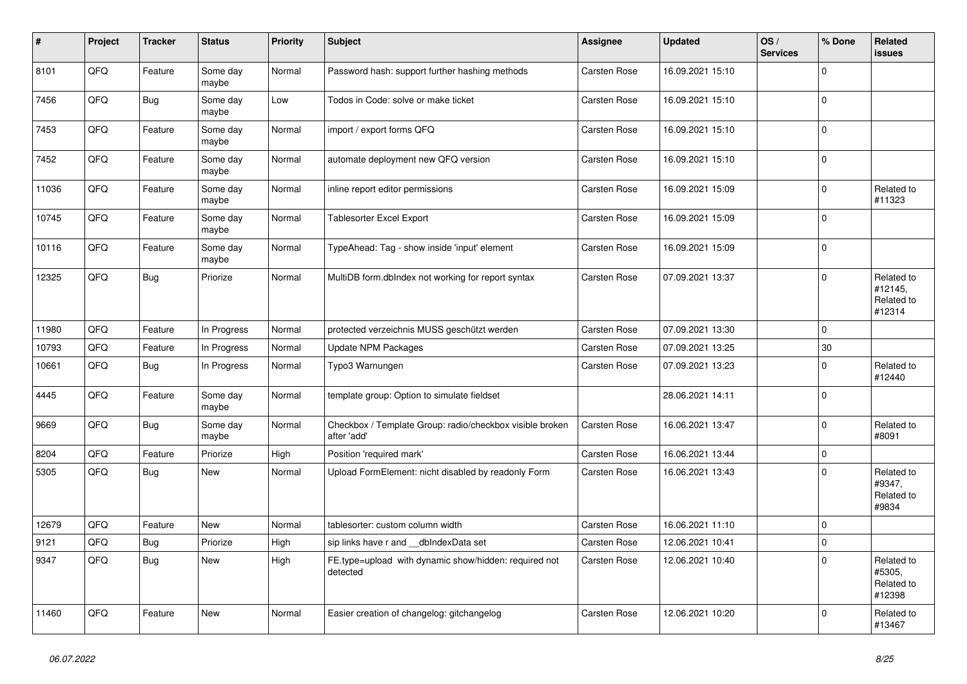| $\sharp$ | Project | <b>Tracker</b> | <b>Status</b>     | <b>Priority</b> | <b>Subject</b>                                                          | Assignee            | <b>Updated</b>   | OS/<br><b>Services</b> | % Done              | <b>Related</b><br>issues                      |
|----------|---------|----------------|-------------------|-----------------|-------------------------------------------------------------------------|---------------------|------------------|------------------------|---------------------|-----------------------------------------------|
| 8101     | QFQ     | Feature        | Some day<br>maybe | Normal          | Password hash: support further hashing methods                          | <b>Carsten Rose</b> | 16.09.2021 15:10 |                        | $\mathbf 0$         |                                               |
| 7456     | QFQ     | <b>Bug</b>     | Some day<br>maybe | Low             | Todos in Code: solve or make ticket                                     | <b>Carsten Rose</b> | 16.09.2021 15:10 |                        | 0                   |                                               |
| 7453     | QFQ     | Feature        | Some day<br>maybe | Normal          | import / export forms QFQ                                               | <b>Carsten Rose</b> | 16.09.2021 15:10 |                        | $\Omega$            |                                               |
| 7452     | QFQ     | Feature        | Some day<br>maybe | Normal          | automate deployment new QFQ version                                     | <b>Carsten Rose</b> | 16.09.2021 15:10 |                        | $\mathbf 0$         |                                               |
| 11036    | QFQ     | Feature        | Some day<br>maybe | Normal          | inline report editor permissions                                        | <b>Carsten Rose</b> | 16.09.2021 15:09 |                        | 0                   | Related to<br>#11323                          |
| 10745    | QFQ     | Feature        | Some day<br>maybe | Normal          | Tablesorter Excel Export                                                | <b>Carsten Rose</b> | 16.09.2021 15:09 |                        | $\mathbf 0$         |                                               |
| 10116    | QFQ     | Feature        | Some day<br>maybe | Normal          | TypeAhead: Tag - show inside 'input' element                            | <b>Carsten Rose</b> | 16.09.2021 15:09 |                        | $\mathbf 0$         |                                               |
| 12325    | QFQ     | <b>Bug</b>     | Priorize          | Normal          | MultiDB form.dblndex not working for report syntax                      | Carsten Rose        | 07.09.2021 13:37 |                        | $\mathbf 0$         | Related to<br>#12145,<br>Related to<br>#12314 |
| 11980    | QFQ     | Feature        | In Progress       | Normal          | protected verzeichnis MUSS geschützt werden                             | <b>Carsten Rose</b> | 07.09.2021 13:30 |                        | $\Omega$            |                                               |
| 10793    | QFQ     | Feature        | In Progress       | Normal          | Update NPM Packages                                                     | <b>Carsten Rose</b> | 07.09.2021 13:25 |                        | 30                  |                                               |
| 10661    | QFQ     | Bug            | In Progress       | Normal          | Typo3 Warnungen                                                         | <b>Carsten Rose</b> | 07.09.2021 13:23 |                        | $\mathbf 0$         | Related to<br>#12440                          |
| 4445     | QFQ     | Feature        | Some day<br>maybe | Normal          | template group: Option to simulate fieldset                             |                     | 28.06.2021 14:11 |                        | $\mathsf{O}\xspace$ |                                               |
| 9669     | QFQ     | <b>Bug</b>     | Some day<br>maybe | Normal          | Checkbox / Template Group: radio/checkbox visible broken<br>after 'add' | <b>Carsten Rose</b> | 16.06.2021 13:47 |                        | $\mathbf 0$         | Related to<br>#8091                           |
| 8204     | QFQ     | Feature        | Priorize          | High            | Position 'required mark'                                                | Carsten Rose        | 16.06.2021 13:44 |                        | $\pmb{0}$           |                                               |
| 5305     | QFQ     | <b>Bug</b>     | <b>New</b>        | Normal          | Upload FormElement: nicht disabled by readonly Form                     | <b>Carsten Rose</b> | 16.06.2021 13:43 |                        | $\mathbf 0$         | Related to<br>#9347,<br>Related to<br>#9834   |
| 12679    | QFQ     | Feature        | <b>New</b>        | Normal          | tablesorter: custom column width                                        | <b>Carsten Rose</b> | 16.06.2021 11:10 |                        | $\mathbf 0$         |                                               |
| 9121     | QFQ     | <b>Bug</b>     | Priorize          | High            | sip links have r and __dbIndexData set                                  | Carsten Rose        | 12.06.2021 10:41 |                        | $\mathsf{O}\xspace$ |                                               |
| 9347     | QFQ     | <b>Bug</b>     | New               | High            | FE.type=upload with dynamic show/hidden: required not<br>detected       | Carsten Rose        | 12.06.2021 10:40 |                        | $\Omega$            | Related to<br>#5305,<br>Related to<br>#12398  |
| 11460    | QFQ     | Feature        | <b>New</b>        | Normal          | Easier creation of changelog: gitchangelog                              | Carsten Rose        | 12.06.2021 10:20 |                        | $\Omega$            | Related to<br>#13467                          |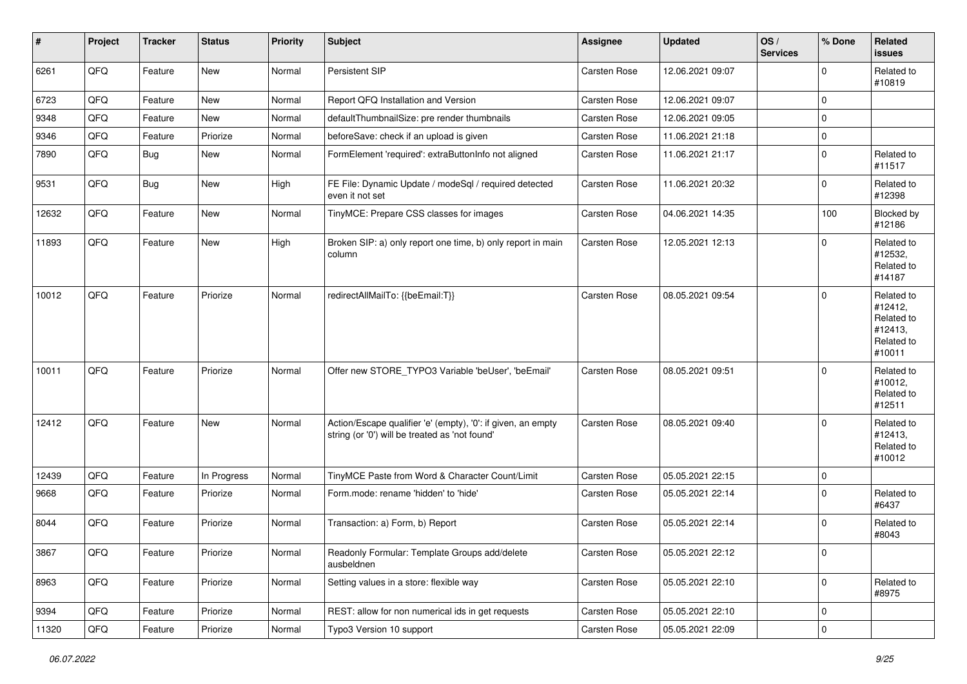| $\sharp$ | Project | <b>Tracker</b> | <b>Status</b> | <b>Priority</b> | <b>Subject</b>                                                                                                 | <b>Assignee</b>     | <b>Updated</b>   | OS/<br><b>Services</b> | % Done              | Related<br><b>issues</b>                                               |
|----------|---------|----------------|---------------|-----------------|----------------------------------------------------------------------------------------------------------------|---------------------|------------------|------------------------|---------------------|------------------------------------------------------------------------|
| 6261     | QFQ     | Feature        | <b>New</b>    | Normal          | Persistent SIP                                                                                                 | <b>Carsten Rose</b> | 12.06.2021 09:07 |                        | $\mathbf 0$         | Related to<br>#10819                                                   |
| 6723     | QFQ     | Feature        | New           | Normal          | Report QFQ Installation and Version                                                                            | Carsten Rose        | 12.06.2021 09:07 |                        | $\mathbf 0$         |                                                                        |
| 9348     | QFQ     | Feature        | <b>New</b>    | Normal          | defaultThumbnailSize: pre render thumbnails                                                                    | Carsten Rose        | 12.06.2021 09:05 |                        | 0                   |                                                                        |
| 9346     | QFQ     | Feature        | Priorize      | Normal          | beforeSave: check if an upload is given                                                                        | Carsten Rose        | 11.06.2021 21:18 |                        | 0                   |                                                                        |
| 7890     | QFQ     | <b>Bug</b>     | <b>New</b>    | Normal          | FormElement 'required': extraButtonInfo not aligned                                                            | Carsten Rose        | 11.06.2021 21:17 |                        | $\mathbf 0$         | Related to<br>#11517                                                   |
| 9531     | QFQ     | Bug            | New           | High            | FE File: Dynamic Update / modeSql / required detected<br>even it not set                                       | Carsten Rose        | 11.06.2021 20:32 |                        | $\mathbf 0$         | Related to<br>#12398                                                   |
| 12632    | QFQ     | Feature        | New           | Normal          | TinyMCE: Prepare CSS classes for images                                                                        | <b>Carsten Rose</b> | 04.06.2021 14:35 |                        | 100                 | Blocked by<br>#12186                                                   |
| 11893    | QFQ     | Feature        | New           | High            | Broken SIP: a) only report one time, b) only report in main<br>column                                          | <b>Carsten Rose</b> | 12.05.2021 12:13 |                        | $\mathbf 0$         | Related to<br>#12532,<br>Related to<br>#14187                          |
| 10012    | QFQ     | Feature        | Priorize      | Normal          | redirectAllMailTo: {{beEmail:T}}                                                                               | Carsten Rose        | 08.05.2021 09:54 |                        | $\mathbf 0$         | Related to<br>#12412,<br>Related to<br>#12413,<br>Related to<br>#10011 |
| 10011    | QFQ     | Feature        | Priorize      | Normal          | Offer new STORE_TYPO3 Variable 'beUser', 'beEmail'                                                             | Carsten Rose        | 08.05.2021 09:51 |                        | $\Omega$            | Related to<br>#10012,<br>Related to<br>#12511                          |
| 12412    | QFQ     | Feature        | <b>New</b>    | Normal          | Action/Escape qualifier 'e' (empty), '0': if given, an empty<br>string (or '0') will be treated as 'not found' | Carsten Rose        | 08.05.2021 09:40 |                        | $\mathbf 0$         | Related to<br>#12413,<br>Related to<br>#10012                          |
| 12439    | QFQ     | Feature        | In Progress   | Normal          | TinyMCE Paste from Word & Character Count/Limit                                                                | Carsten Rose        | 05.05.2021 22:15 |                        | $\mathbf 0$         |                                                                        |
| 9668     | QFQ     | Feature        | Priorize      | Normal          | Form.mode: rename 'hidden' to 'hide'                                                                           | Carsten Rose        | 05.05.2021 22:14 |                        | $\Omega$            | Related to<br>#6437                                                    |
| 8044     | QFQ     | Feature        | Priorize      | Normal          | Transaction: a) Form, b) Report                                                                                | Carsten Rose        | 05.05.2021 22:14 |                        | $\mathbf 0$         | Related to<br>#8043                                                    |
| 3867     | QFG     | Feature        | Priorize      | Normal          | Readonly Formular: Template Groups add/delete<br>ausbeldnen                                                    | Carsten Rose        | 05.05.2021 22:12 |                        | 0                   |                                                                        |
| 8963     | QFQ     | Feature        | Priorize      | Normal          | Setting values in a store: flexible way                                                                        | Carsten Rose        | 05.05.2021 22:10 |                        | $\mathbf{0}$        | Related to<br>#8975                                                    |
| 9394     | QFQ     | Feature        | Priorize      | Normal          | REST: allow for non numerical ids in get requests                                                              | Carsten Rose        | 05.05.2021 22:10 |                        | $\mathsf{O}\xspace$ |                                                                        |
| 11320    | QFQ     | Feature        | Priorize      | Normal          | Typo3 Version 10 support                                                                                       | Carsten Rose        | 05.05.2021 22:09 |                        | $\pmb{0}$           |                                                                        |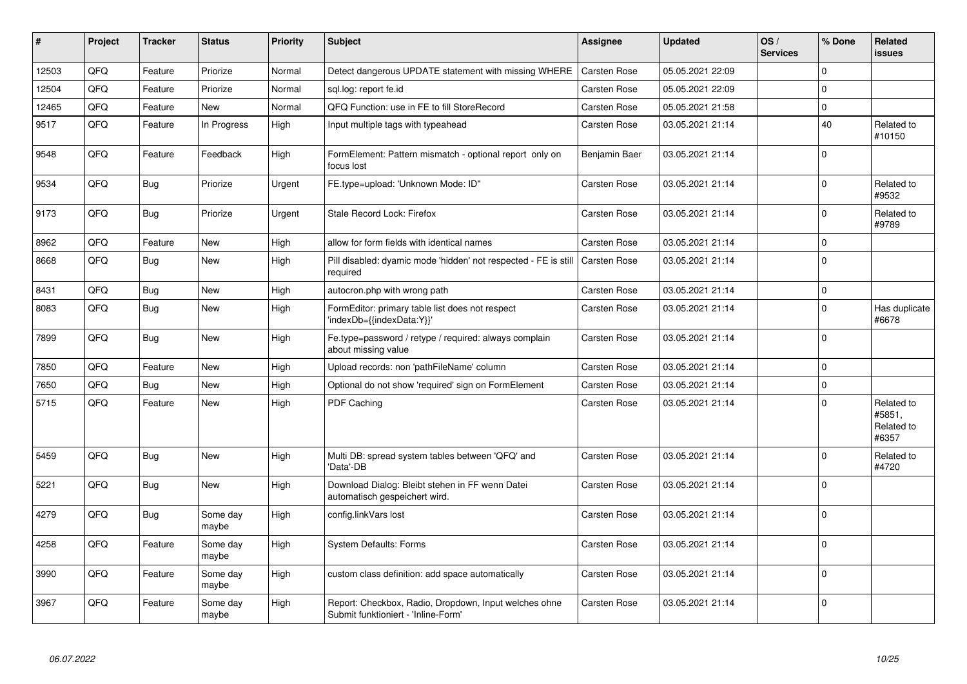| #     | Project | <b>Tracker</b> | <b>Status</b>     | <b>Priority</b> | <b>Subject</b>                                                                               | Assignee            | <b>Updated</b>   | OS/<br><b>Services</b> | % Done      | Related<br>issues                           |
|-------|---------|----------------|-------------------|-----------------|----------------------------------------------------------------------------------------------|---------------------|------------------|------------------------|-------------|---------------------------------------------|
| 12503 | QFQ     | Feature        | Priorize          | Normal          | Detect dangerous UPDATE statement with missing WHERE                                         | <b>Carsten Rose</b> | 05.05.2021 22:09 |                        | $\Omega$    |                                             |
| 12504 | QFQ     | Feature        | Priorize          | Normal          | sgl.log: report fe.id                                                                        | Carsten Rose        | 05.05.2021 22:09 |                        | $\Omega$    |                                             |
| 12465 | QFQ     | Feature        | <b>New</b>        | Normal          | QFQ Function: use in FE to fill StoreRecord                                                  | <b>Carsten Rose</b> | 05.05.2021 21:58 |                        | $\mathbf 0$ |                                             |
| 9517  | QFQ     | Feature        | In Progress       | High            | Input multiple tags with typeahead                                                           | <b>Carsten Rose</b> | 03.05.2021 21:14 |                        | 40          | Related to<br>#10150                        |
| 9548  | QFQ     | Feature        | Feedback          | High            | FormElement: Pattern mismatch - optional report only on<br>focus lost                        | Benjamin Baer       | 03.05.2021 21:14 |                        | $\mathbf 0$ |                                             |
| 9534  | QFQ     | Bug            | Priorize          | Urgent          | FE.type=upload: 'Unknown Mode: ID"                                                           | <b>Carsten Rose</b> | 03.05.2021 21:14 |                        | $\Omega$    | Related to<br>#9532                         |
| 9173  | QFQ     | Bug            | Priorize          | Urgent          | Stale Record Lock: Firefox                                                                   | Carsten Rose        | 03.05.2021 21:14 |                        | $\Omega$    | Related to<br>#9789                         |
| 8962  | QFQ     | Feature        | <b>New</b>        | High            | allow for form fields with identical names                                                   | Carsten Rose        | 03.05.2021 21:14 |                        | $\mathbf 0$ |                                             |
| 8668  | QFQ     | <b>Bug</b>     | <b>New</b>        | High            | Pill disabled: dyamic mode 'hidden' not respected - FE is still<br>required                  | <b>Carsten Rose</b> | 03.05.2021 21:14 |                        | $\Omega$    |                                             |
| 8431  | QFQ     | Bug            | <b>New</b>        | High            | autocron.php with wrong path                                                                 | Carsten Rose        | 03.05.2021 21:14 |                        | $\mathbf 0$ |                                             |
| 8083  | QFQ     | Bug            | <b>New</b>        | High            | FormEditor: primary table list does not respect<br>'indexDb={{indexData:Y}}'                 | <b>Carsten Rose</b> | 03.05.2021 21:14 |                        | $\mathbf 0$ | Has duplicate<br>#6678                      |
| 7899  | QFQ     | Bug            | <b>New</b>        | High            | Fe.type=password / retype / required: always complain<br>about missing value                 | <b>Carsten Rose</b> | 03.05.2021 21:14 |                        | $\Omega$    |                                             |
| 7850  | QFQ     | Feature        | <b>New</b>        | High            | Upload records: non 'pathFileName' column                                                    | Carsten Rose        | 03.05.2021 21:14 |                        | $\Omega$    |                                             |
| 7650  | QFQ     | Bug            | <b>New</b>        | High            | Optional do not show 'required' sign on FormElement                                          | Carsten Rose        | 03.05.2021 21:14 |                        | $\mathbf 0$ |                                             |
| 5715  | QFQ     | Feature        | <b>New</b>        | High            | <b>PDF Caching</b>                                                                           | Carsten Rose        | 03.05.2021 21:14 |                        | $\Omega$    | Related to<br>#5851,<br>Related to<br>#6357 |
| 5459  | QFQ     | Bug            | <b>New</b>        | High            | Multi DB: spread system tables between 'QFQ' and<br>'Data'-DB                                | <b>Carsten Rose</b> | 03.05.2021 21:14 |                        | $\mathbf 0$ | Related to<br>#4720                         |
| 5221  | QFQ     | Bug            | <b>New</b>        | High            | Download Dialog: Bleibt stehen in FF wenn Datei<br>automatisch gespeichert wird.             | <b>Carsten Rose</b> | 03.05.2021 21:14 |                        | $\Omega$    |                                             |
| 4279  | QFQ     | Bug            | Some day<br>maybe | High            | config.linkVars lost                                                                         | <b>Carsten Rose</b> | 03.05.2021 21:14 |                        | $\Omega$    |                                             |
| 4258  | QFQ     | Feature        | Some day<br>maybe | High            | <b>System Defaults: Forms</b>                                                                | Carsten Rose        | 03.05.2021 21:14 |                        | $\Omega$    |                                             |
| 3990  | QFQ     | Feature        | Some day<br>maybe | High            | custom class definition: add space automatically                                             | <b>Carsten Rose</b> | 03.05.2021 21:14 |                        | $\Omega$    |                                             |
| 3967  | QFQ     | Feature        | Some day<br>maybe | High            | Report: Checkbox, Radio, Dropdown, Input welches ohne<br>Submit funktioniert - 'Inline-Form' | Carsten Rose        | 03.05.2021 21:14 |                        | $\Omega$    |                                             |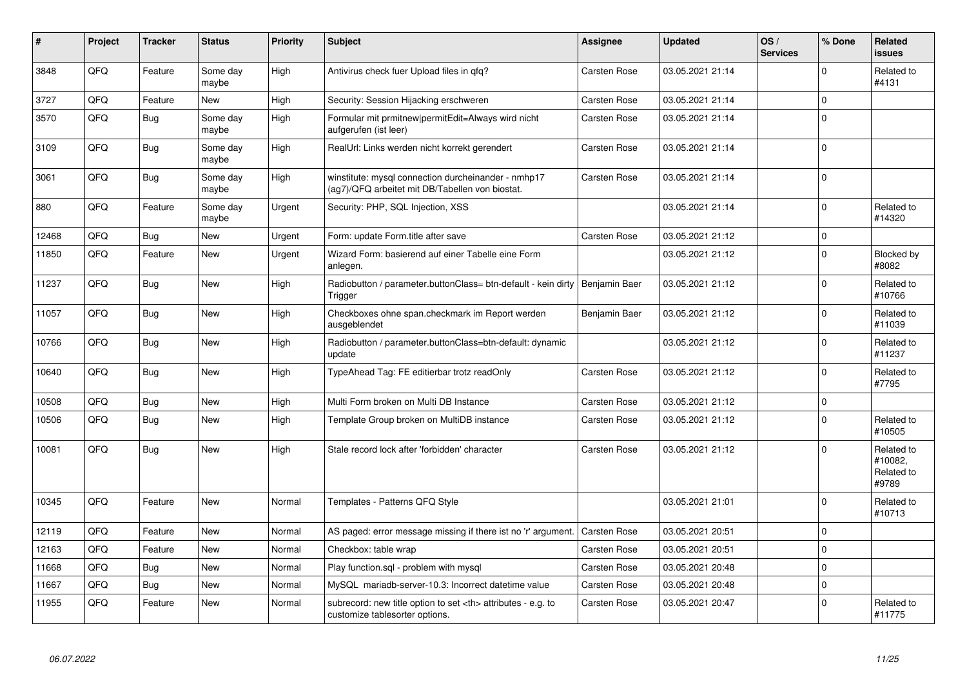| #     | Project    | <b>Tracker</b> | <b>Status</b>     | <b>Priority</b> | <b>Subject</b>                                                                                         | <b>Assignee</b>                                        | <b>Updated</b>   | OS/<br><b>Services</b> | % Done      | <b>Related</b><br><b>issues</b>              |                      |
|-------|------------|----------------|-------------------|-----------------|--------------------------------------------------------------------------------------------------------|--------------------------------------------------------|------------------|------------------------|-------------|----------------------------------------------|----------------------|
| 3848  | QFQ        | Feature        | Some day<br>maybe | High            | Antivirus check fuer Upload files in qfq?                                                              | <b>Carsten Rose</b>                                    | 03.05.2021 21:14 |                        | $\Omega$    | Related to<br>#4131                          |                      |
| 3727  | <b>OFO</b> | Feature        | <b>New</b>        | High            | Security: Session Hijacking erschweren                                                                 | Carsten Rose                                           | 03.05.2021 21:14 |                        | $\mathbf 0$ |                                              |                      |
| 3570  | QFQ        | Bug            | Some day<br>maybe | High            | Formular mit prmitnew permitEdit=Always wird nicht<br>aufgerufen (ist leer)                            | Carsten Rose                                           | 03.05.2021 21:14 |                        | $\Omega$    |                                              |                      |
| 3109  | QFQ        | Bug            | Some day<br>maybe | High            | RealUrl: Links werden nicht korrekt gerendert                                                          | Carsten Rose                                           | 03.05.2021 21:14 |                        | $\Omega$    |                                              |                      |
| 3061  | QFQ        | Bug            | Some day<br>maybe | High            | winstitute: mysql connection durcheinander - nmhp17<br>(ag7)/QFQ arbeitet mit DB/Tabellen von biostat. | <b>Carsten Rose</b>                                    | 03.05.2021 21:14 |                        | $\Omega$    |                                              |                      |
| 880   | QFQ        | Feature        | Some day<br>maybe | Urgent          | Security: PHP, SQL Injection, XSS                                                                      |                                                        | 03.05.2021 21:14 |                        | $\Omega$    | Related to<br>#14320                         |                      |
| 12468 | QFQ        | Bug            | <b>New</b>        | Urgent          | Form: update Form.title after save                                                                     | <b>Carsten Rose</b>                                    | 03.05.2021 21:12 |                        | $\mathbf 0$ |                                              |                      |
| 11850 | QFQ        | Feature        | <b>New</b>        | Urgent          | Wizard Form: basierend auf einer Tabelle eine Form<br>anlegen.                                         |                                                        | 03.05.2021 21:12 |                        | $\Omega$    | Blocked by<br>#8082                          |                      |
| 11237 | QFQ        | <b>Bug</b>     | <b>New</b>        | High            | Radiobutton / parameter.buttonClass= btn-default - kein dirty<br>Trigger                               | Benjamin Baer                                          | 03.05.2021 21:12 |                        | $\Omega$    | Related to<br>#10766                         |                      |
| 11057 | QFQ        | Bug            | <b>New</b>        | High            | Checkboxes ohne span.checkmark im Report werden<br>ausgeblendet                                        | Benjamin Baer                                          | 03.05.2021 21:12 |                        | $\mathbf 0$ | Related to<br>#11039                         |                      |
| 10766 | QFQ        | Bug            | <b>New</b>        | High            | Radiobutton / parameter.buttonClass=btn-default: dynamic<br>update                                     |                                                        | 03.05.2021 21:12 |                        | $\mathbf 0$ | Related to<br>#11237                         |                      |
| 10640 | QFQ        | Bug            | <b>New</b>        | High            | TypeAhead Tag: FE editierbar trotz readOnly                                                            | <b>Carsten Rose</b>                                    | 03.05.2021 21:12 |                        | $\Omega$    | Related to<br>#7795                          |                      |
| 10508 | QFQ        | Bug            | <b>New</b>        | High            | Multi Form broken on Multi DB Instance                                                                 | <b>Carsten Rose</b>                                    | 03.05.2021 21:12 |                        | $\pmb{0}$   |                                              |                      |
| 10506 | QFQ        | Bug            | <b>New</b>        | High            | Template Group broken on MultiDB instance                                                              | <b>Carsten Rose</b>                                    | 03.05.2021 21:12 |                        | $\Omega$    | Related to<br>#10505                         |                      |
| 10081 | QFQ        | Bug            | <b>New</b>        | High            | Stale record lock after 'forbidden' character                                                          | Carsten Rose                                           | 03.05.2021 21:12 |                        | $\Omega$    | Related to<br>#10082,<br>Related to<br>#9789 |                      |
| 10345 | QFQ        | Feature        | <b>New</b>        | Normal          | Templates - Patterns QFQ Style                                                                         |                                                        | 03.05.2021 21:01 |                        | $\mathbf 0$ | Related to<br>#10713                         |                      |
| 12119 | QFQ        | Feature        | <b>New</b>        | Normal          | AS paged: error message missing if there ist no 'r' argument.                                          | Carsten Rose                                           | 03.05.2021 20:51 |                        | $\Omega$    |                                              |                      |
| 12163 | QFQ        | Feature        | <b>New</b>        | Normal          | Checkbox: table wrap                                                                                   | <b>Carsten Rose</b>                                    | 03.05.2021 20:51 |                        | $\mathbf 0$ |                                              |                      |
| 11668 | QFQ        | Bug            | <b>New</b>        | Normal          | Play function.sql - problem with mysql                                                                 | Carsten Rose                                           | 03.05.2021 20:48 |                        | $\Omega$    |                                              |                      |
| 11667 | QFQ        | Bug            | <b>New</b>        | Normal          | MySQL mariadb-server-10.3: Incorrect datetime value                                                    | Carsten Rose                                           | 03.05.2021 20:48 |                        | $\pmb{0}$   |                                              |                      |
| 11955 | QFQ        | Feature        | New               | Normal          | subrecord: new title option to set <th> attributes - e.g. to<br/>customize tablesorter options.</th>   | attributes - e.g. to<br>customize tablesorter options. | Carsten Rose     | 03.05.2021 20:47       |             | $\Omega$                                     | Related to<br>#11775 |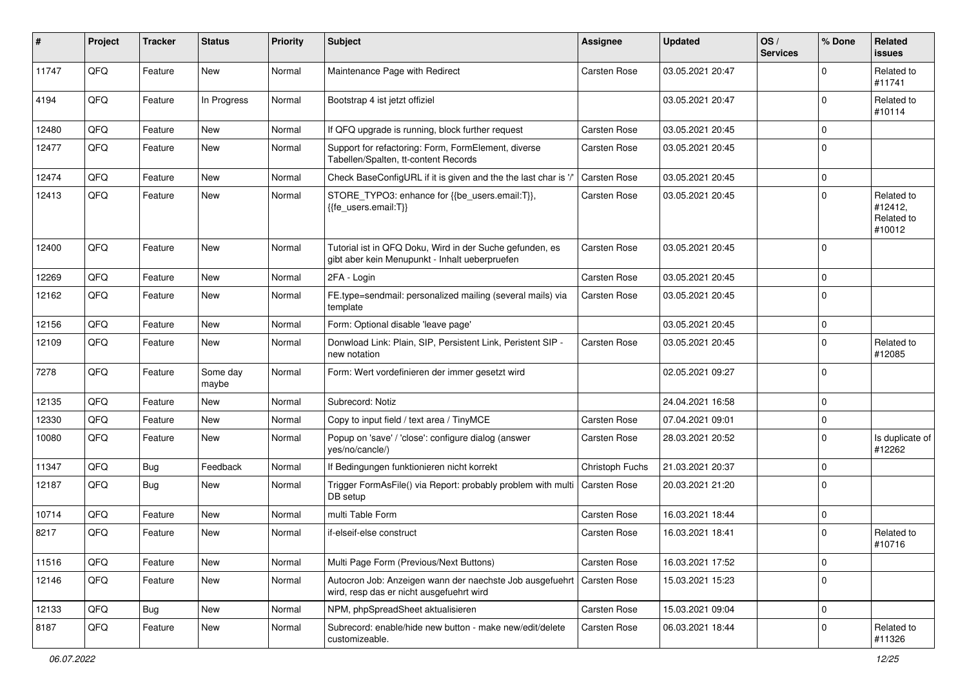| ∦     | Project | <b>Tracker</b> | <b>Status</b>     | <b>Priority</b> | <b>Subject</b>                                                                                             | Assignee            | <b>Updated</b>   | OS/<br><b>Services</b> | % Done      | Related<br><b>issues</b>                      |
|-------|---------|----------------|-------------------|-----------------|------------------------------------------------------------------------------------------------------------|---------------------|------------------|------------------------|-------------|-----------------------------------------------|
| 11747 | QFQ     | Feature        | New               | Normal          | Maintenance Page with Redirect                                                                             | Carsten Rose        | 03.05.2021 20:47 |                        | 0           | Related to<br>#11741                          |
| 4194  | QFQ     | Feature        | In Progress       | Normal          | Bootstrap 4 ist jetzt offiziel                                                                             |                     | 03.05.2021 20:47 |                        | 0           | Related to<br>#10114                          |
| 12480 | QFQ     | Feature        | New               | Normal          | If QFQ upgrade is running, block further request                                                           | Carsten Rose        | 03.05.2021 20:45 |                        | 0           |                                               |
| 12477 | QFQ     | Feature        | <b>New</b>        | Normal          | Support for refactoring: Form, FormElement, diverse<br>Tabellen/Spalten, tt-content Records                | Carsten Rose        | 03.05.2021 20:45 |                        | $\Omega$    |                                               |
| 12474 | QFQ     | Feature        | New               | Normal          | Check BaseConfigURL if it is given and the the last char is '/'                                            | Carsten Rose        | 03.05.2021 20:45 |                        | 0           |                                               |
| 12413 | QFQ     | Feature        | <b>New</b>        | Normal          | STORE_TYPO3: enhance for {{be_users.email:T}},<br>{{fe users.email:T}}                                     | <b>Carsten Rose</b> | 03.05.2021 20:45 |                        | 0           | Related to<br>#12412,<br>Related to<br>#10012 |
| 12400 | QFQ     | Feature        | <b>New</b>        | Normal          | Tutorial ist in QFQ Doku, Wird in der Suche gefunden, es<br>gibt aber kein Menupunkt - Inhalt ueberpruefen | Carsten Rose        | 03.05.2021 20:45 |                        | 0           |                                               |
| 12269 | QFQ     | Feature        | <b>New</b>        | Normal          | 2FA - Login                                                                                                | Carsten Rose        | 03.05.2021 20:45 |                        | 0           |                                               |
| 12162 | QFQ     | Feature        | New               | Normal          | FE.type=sendmail: personalized mailing (several mails) via<br>template                                     | <b>Carsten Rose</b> | 03.05.2021 20:45 |                        | 0           |                                               |
| 12156 | QFQ     | Feature        | <b>New</b>        | Normal          | Form: Optional disable 'leave page'                                                                        |                     | 03.05.2021 20:45 |                        | 0           |                                               |
| 12109 | QFQ     | Feature        | New               | Normal          | Donwload Link: Plain, SIP, Persistent Link, Peristent SIP -<br>new notation                                | Carsten Rose        | 03.05.2021 20:45 |                        | 0           | Related to<br>#12085                          |
| 7278  | QFQ     | Feature        | Some day<br>maybe | Normal          | Form: Wert vordefinieren der immer gesetzt wird                                                            |                     | 02.05.2021 09:27 |                        | $\mathbf 0$ |                                               |
| 12135 | QFQ     | Feature        | <b>New</b>        | Normal          | Subrecord: Notiz                                                                                           |                     | 24.04.2021 16:58 |                        | 0           |                                               |
| 12330 | QFQ     | Feature        | <b>New</b>        | Normal          | Copy to input field / text area / TinyMCE                                                                  | Carsten Rose        | 07.04.2021 09:01 |                        | 0           |                                               |
| 10080 | QFQ     | Feature        | New               | Normal          | Popup on 'save' / 'close': configure dialog (answer<br>yes/no/cancle/)                                     | <b>Carsten Rose</b> | 28.03.2021 20:52 |                        | 0           | Is duplicate of<br>#12262                     |
| 11347 | QFQ     | Bug            | Feedback          | Normal          | If Bedingungen funktionieren nicht korrekt                                                                 | Christoph Fuchs     | 21.03.2021 20:37 |                        | 0           |                                               |
| 12187 | QFQ     | Bug            | <b>New</b>        | Normal          | Trigger FormAsFile() via Report: probably problem with multi<br>DB setup                                   | Carsten Rose        | 20.03.2021 21:20 |                        | $\Omega$    |                                               |
| 10714 | QFQ     | Feature        | <b>New</b>        | Normal          | multi Table Form                                                                                           | Carsten Rose        | 16.03.2021 18:44 |                        | 0           |                                               |
| 8217  | QFQ     | Feature        | <b>New</b>        | Normal          | if-elseif-else construct                                                                                   | Carsten Rose        | 16.03.2021 18:41 |                        | 0           | Related to<br>#10716                          |
| 11516 | QFQ     | Feature        | New               | Normal          | Multi Page Form (Previous/Next Buttons)                                                                    | Carsten Rose        | 16.03.2021 17:52 |                        | 0           |                                               |
| 12146 | QFQ     | Feature        | New               | Normal          | Autocron Job: Anzeigen wann der naechste Job ausgefuehrt<br>wird, resp das er nicht ausgefuehrt wird       | Carsten Rose        | 15.03.2021 15:23 |                        | 0           |                                               |
| 12133 | QFQ     | Bug            | New               | Normal          | NPM, phpSpreadSheet aktualisieren                                                                          | Carsten Rose        | 15.03.2021 09:04 |                        | 0           |                                               |
| 8187  | QFQ     | Feature        | New               | Normal          | Subrecord: enable/hide new button - make new/edit/delete<br>customizeable.                                 | Carsten Rose        | 06.03.2021 18:44 |                        | 0           | Related to<br>#11326                          |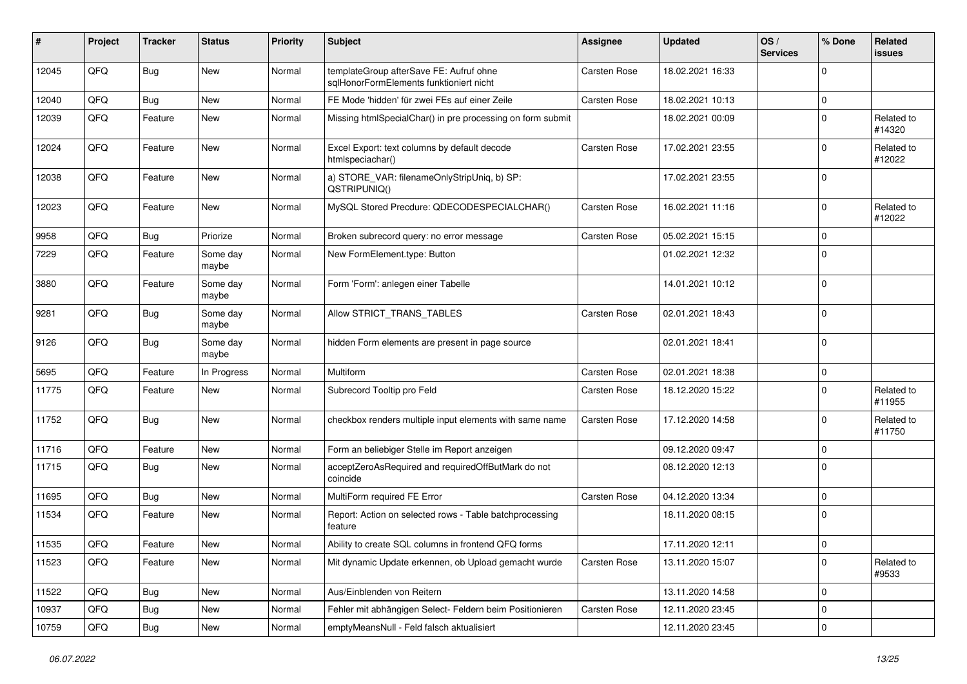| #     | Project | <b>Tracker</b> | <b>Status</b>     | Priority | <b>Subject</b>                                                                     | <b>Assignee</b>     | <b>Updated</b>   | OS/<br><b>Services</b> | % Done      | Related<br><b>issues</b> |
|-------|---------|----------------|-------------------|----------|------------------------------------------------------------------------------------|---------------------|------------------|------------------------|-------------|--------------------------|
| 12045 | QFQ     | Bug            | New               | Normal   | templateGroup afterSave FE: Aufruf ohne<br>sglHonorFormElements funktioniert nicht | Carsten Rose        | 18.02.2021 16:33 |                        | 0           |                          |
| 12040 | QFQ     | <b>Bug</b>     | New               | Normal   | FE Mode 'hidden' für zwei FEs auf einer Zeile                                      | <b>Carsten Rose</b> | 18.02.2021 10:13 |                        | 0           |                          |
| 12039 | QFQ     | Feature        | New               | Normal   | Missing htmlSpecialChar() in pre processing on form submit                         |                     | 18.02.2021 00:09 |                        | 0           | Related to<br>#14320     |
| 12024 | QFQ     | Feature        | New               | Normal   | Excel Export: text columns by default decode<br>htmlspeciachar()                   | Carsten Rose        | 17.02.2021 23:55 |                        | 0           | Related to<br>#12022     |
| 12038 | QFQ     | Feature        | New               | Normal   | a) STORE_VAR: filenameOnlyStripUniq, b) SP:<br>QSTRIPUNIQ()                        |                     | 17.02.2021 23:55 |                        | 0           |                          |
| 12023 | QFQ     | Feature        | New               | Normal   | MySQL Stored Precdure: QDECODESPECIALCHAR()                                        | <b>Carsten Rose</b> | 16.02.2021 11:16 |                        | 0           | Related to<br>#12022     |
| 9958  | QFQ     | Bug            | Priorize          | Normal   | Broken subrecord query: no error message                                           | <b>Carsten Rose</b> | 05.02.2021 15:15 |                        | 0           |                          |
| 7229  | QFQ     | Feature        | Some day<br>maybe | Normal   | New FormElement.type: Button                                                       |                     | 01.02.2021 12:32 |                        | $\mathbf 0$ |                          |
| 3880  | QFQ     | Feature        | Some day<br>maybe | Normal   | Form 'Form': anlegen einer Tabelle                                                 |                     | 14.01.2021 10:12 |                        | 0           |                          |
| 9281  | QFQ     | <b>Bug</b>     | Some day<br>maybe | Normal   | Allow STRICT TRANS TABLES                                                          | Carsten Rose        | 02.01.2021 18:43 |                        | 0           |                          |
| 9126  | QFQ     | Bug            | Some day<br>maybe | Normal   | hidden Form elements are present in page source                                    |                     | 02.01.2021 18:41 |                        | $\Omega$    |                          |
| 5695  | QFQ     | Feature        | In Progress       | Normal   | Multiform                                                                          | <b>Carsten Rose</b> | 02.01.2021 18:38 |                        | 0           |                          |
| 11775 | QFQ     | Feature        | New               | Normal   | Subrecord Tooltip pro Feld                                                         | Carsten Rose        | 18.12.2020 15:22 |                        | $\Omega$    | Related to<br>#11955     |
| 11752 | QFQ     | Bug            | New               | Normal   | checkbox renders multiple input elements with same name                            | Carsten Rose        | 17.12.2020 14:58 |                        | 0           | Related to<br>#11750     |
| 11716 | QFQ     | Feature        | <b>New</b>        | Normal   | Form an beliebiger Stelle im Report anzeigen                                       |                     | 09.12.2020 09:47 |                        | 0           |                          |
| 11715 | QFQ     | Bug            | New               | Normal   | acceptZeroAsRequired and requiredOffButMark do not<br>coincide                     |                     | 08.12.2020 12:13 |                        | 0           |                          |
| 11695 | QFQ     | <b>Bug</b>     | New               | Normal   | MultiForm required FE Error                                                        | <b>Carsten Rose</b> | 04.12.2020 13:34 |                        | 0           |                          |
| 11534 | QFQ     | Feature        | New               | Normal   | Report: Action on selected rows - Table batchprocessing<br>feature                 |                     | 18.11.2020 08:15 |                        | 0           |                          |
| 11535 | QFQ     | Feature        | <b>New</b>        | Normal   | Ability to create SQL columns in frontend QFQ forms                                |                     | 17.11.2020 12:11 |                        | $\Omega$    |                          |
| 11523 | QFQ     | Feature        | New               | Normal   | Mit dynamic Update erkennen, ob Upload gemacht wurde                               | Carsten Rose        | 13.11.2020 15:07 |                        | $\mathbf 0$ | Related to<br>#9533      |
| 11522 | QFQ     | Bug            | New               | Normal   | Aus/Einblenden von Reitern                                                         |                     | 13.11.2020 14:58 |                        | 0           |                          |
| 10937 | QFQ     | <b>Bug</b>     | New               | Normal   | Fehler mit abhängigen Select- Feldern beim Positionieren                           | Carsten Rose        | 12.11.2020 23:45 |                        | 0           |                          |
| 10759 | QFQ     | Bug            | New               | Normal   | emptyMeansNull - Feld falsch aktualisiert                                          |                     | 12.11.2020 23:45 |                        | 0           |                          |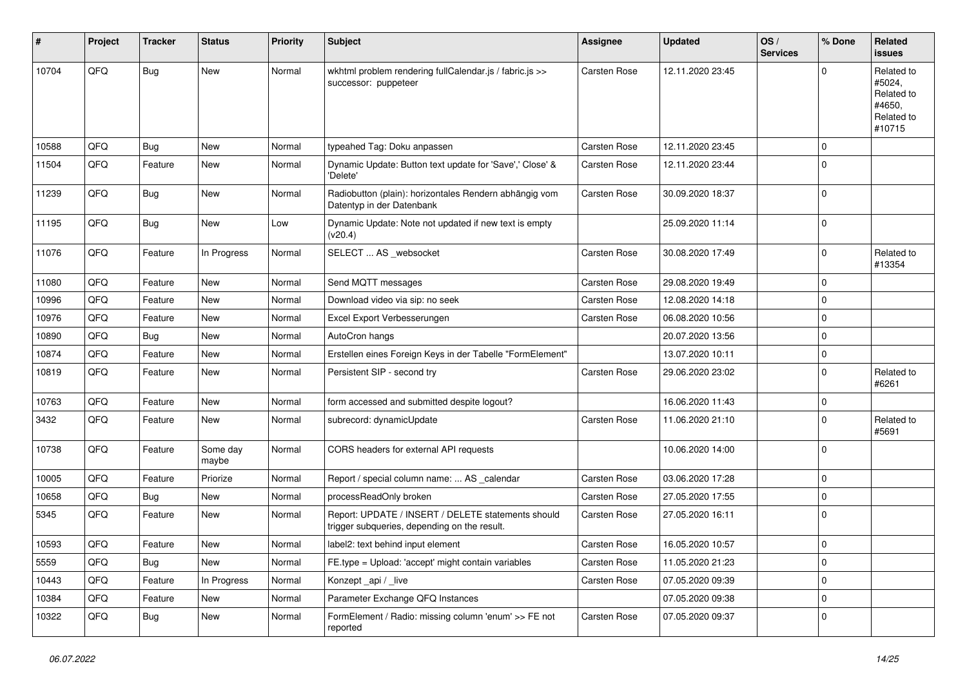| $\sharp$ | Project | <b>Tracker</b> | <b>Status</b>     | <b>Priority</b> | <b>Subject</b>                                                                                     | <b>Assignee</b> | <b>Updated</b>   | OS/<br><b>Services</b> | % Done      | Related<br>issues                                                    |
|----------|---------|----------------|-------------------|-----------------|----------------------------------------------------------------------------------------------------|-----------------|------------------|------------------------|-------------|----------------------------------------------------------------------|
| 10704    | QFQ     | <b>Bug</b>     | <b>New</b>        | Normal          | wkhtml problem rendering fullCalendar.js / fabric.js >><br>successor: puppeteer                    | Carsten Rose    | 12.11.2020 23:45 |                        | $\Omega$    | Related to<br>#5024,<br>Related to<br>#4650,<br>Related to<br>#10715 |
| 10588    | QFQ     | Bug            | <b>New</b>        | Normal          | typeahed Tag: Doku anpassen                                                                        | Carsten Rose    | 12.11.2020 23:45 |                        | $\Omega$    |                                                                      |
| 11504    | QFQ     | Feature        | New               | Normal          | Dynamic Update: Button text update for 'Save',' Close' &<br>'Delete'                               | Carsten Rose    | 12.11.2020 23:44 |                        | $\Omega$    |                                                                      |
| 11239    | QFQ     | Bug            | New               | Normal          | Radiobutton (plain): horizontales Rendern abhängig vom<br>Datentyp in der Datenbank                | Carsten Rose    | 30.09.2020 18:37 |                        | $\Omega$    |                                                                      |
| 11195    | QFQ     | Bug            | New               | Low             | Dynamic Update: Note not updated if new text is empty<br>(v20.4)                                   |                 | 25.09.2020 11:14 |                        | $\Omega$    |                                                                      |
| 11076    | QFQ     | Feature        | In Progress       | Normal          | SELECT  AS _websocket                                                                              | Carsten Rose    | 30.08.2020 17:49 |                        | $\Omega$    | Related to<br>#13354                                                 |
| 11080    | QFQ     | Feature        | <b>New</b>        | Normal          | Send MQTT messages                                                                                 | Carsten Rose    | 29.08.2020 19:49 |                        | $\Omega$    |                                                                      |
| 10996    | QFQ     | Feature        | New               | Normal          | Download video via sip: no seek                                                                    | Carsten Rose    | 12.08.2020 14:18 |                        | $\Omega$    |                                                                      |
| 10976    | QFQ     | Feature        | <b>New</b>        | Normal          | Excel Export Verbesserungen                                                                        | Carsten Rose    | 06.08.2020 10:56 |                        | $\mathbf 0$ |                                                                      |
| 10890    | QFQ     | Bug            | New               | Normal          | AutoCron hangs                                                                                     |                 | 20.07.2020 13:56 |                        | $\Omega$    |                                                                      |
| 10874    | QFQ     | Feature        | <b>New</b>        | Normal          | Erstellen eines Foreign Keys in der Tabelle "FormElement"                                          |                 | 13.07.2020 10:11 |                        | $\mathbf 0$ |                                                                      |
| 10819    | QFQ     | Feature        | <b>New</b>        | Normal          | Persistent SIP - second try                                                                        | Carsten Rose    | 29.06.2020 23:02 |                        | $\Omega$    | Related to<br>#6261                                                  |
| 10763    | QFQ     | Feature        | <b>New</b>        | Normal          | form accessed and submitted despite logout?                                                        |                 | 16.06.2020 11:43 |                        | $\mathbf 0$ |                                                                      |
| 3432     | QFQ     | Feature        | <b>New</b>        | Normal          | subrecord: dynamicUpdate                                                                           | Carsten Rose    | 11.06.2020 21:10 |                        | $\Omega$    | Related to<br>#5691                                                  |
| 10738    | QFQ     | Feature        | Some day<br>maybe | Normal          | CORS headers for external API requests                                                             |                 | 10.06.2020 14:00 |                        | $\Omega$    |                                                                      |
| 10005    | QFQ     | Feature        | Priorize          | Normal          | Report / special column name:  AS _calendar                                                        | Carsten Rose    | 03.06.2020 17:28 |                        | $\mathbf 0$ |                                                                      |
| 10658    | QFQ     | <b>Bug</b>     | New               | Normal          | processReadOnly broken                                                                             | Carsten Rose    | 27.05.2020 17:55 |                        | 0           |                                                                      |
| 5345     | QFQ     | Feature        | <b>New</b>        | Normal          | Report: UPDATE / INSERT / DELETE statements should<br>trigger subqueries, depending on the result. | Carsten Rose    | 27.05.2020 16:11 |                        | $\Omega$    |                                                                      |
| 10593    | QFQ     | Feature        | New               | Normal          | label2: text behind input element                                                                  | Carsten Rose    | 16.05.2020 10:57 |                        | 0           |                                                                      |
| 5559     | QFQ     | Bug            | New               | Normal          | FE.type = Upload: 'accept' might contain variables                                                 | Carsten Rose    | 11.05.2020 21:23 |                        | 0           |                                                                      |
| 10443    | QFQ     | Feature        | In Progress       | Normal          | Konzept_api / _live                                                                                | Carsten Rose    | 07.05.2020 09:39 |                        | 0           |                                                                      |
| 10384    | QFQ     | Feature        | New               | Normal          | Parameter Exchange QFQ Instances                                                                   |                 | 07.05.2020 09:38 |                        | 0           |                                                                      |
| 10322    | QFQ     | <b>Bug</b>     | New               | Normal          | FormElement / Radio: missing column 'enum' >> FE not<br>reported                                   | Carsten Rose    | 07.05.2020 09:37 |                        | 0           |                                                                      |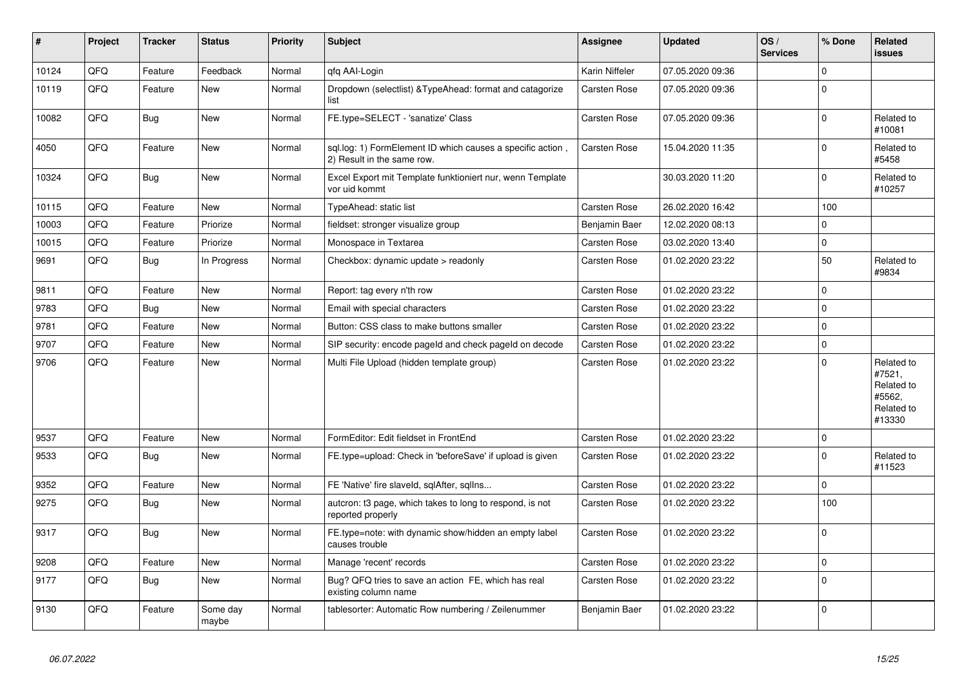| #     | Project | <b>Tracker</b> | <b>Status</b>     | <b>Priority</b> | <b>Subject</b>                                                                           | <b>Assignee</b>     | <b>Updated</b>   | OS/<br><b>Services</b> | % Done      | Related<br>issues                                                    |
|-------|---------|----------------|-------------------|-----------------|------------------------------------------------------------------------------------------|---------------------|------------------|------------------------|-------------|----------------------------------------------------------------------|
| 10124 | QFQ     | Feature        | Feedback          | Normal          | qfq AAI-Login                                                                            | Karin Niffeler      | 07.05.2020 09:36 |                        | 0           |                                                                      |
| 10119 | QFQ     | Feature        | <b>New</b>        | Normal          | Dropdown (selectlist) & Type Ahead: format and catagorize<br>list                        | <b>Carsten Rose</b> | 07.05.2020 09:36 |                        | $\Omega$    |                                                                      |
| 10082 | QFQ     | <b>Bug</b>     | <b>New</b>        | Normal          | FE.type=SELECT - 'sanatize' Class                                                        | Carsten Rose        | 07.05.2020 09:36 |                        | $\Omega$    | Related to<br>#10081                                                 |
| 4050  | QFQ     | Feature        | <b>New</b>        | Normal          | sql.log: 1) FormElement ID which causes a specific action,<br>2) Result in the same row. | <b>Carsten Rose</b> | 15.04.2020 11:35 |                        | $\pmb{0}$   | Related to<br>#5458                                                  |
| 10324 | QFQ     | Bug            | <b>New</b>        | Normal          | Excel Export mit Template funktioniert nur, wenn Template<br>vor uid kommt               |                     | 30.03.2020 11:20 |                        | $\Omega$    | Related to<br>#10257                                                 |
| 10115 | QFQ     | Feature        | <b>New</b>        | Normal          | TypeAhead: static list                                                                   | <b>Carsten Rose</b> | 26.02.2020 16:42 |                        | 100         |                                                                      |
| 10003 | QFQ     | Feature        | Priorize          | Normal          | fieldset: stronger visualize group                                                       | Benjamin Baer       | 12.02.2020 08:13 |                        | 0           |                                                                      |
| 10015 | QFQ     | Feature        | Priorize          | Normal          | Monospace in Textarea                                                                    | Carsten Rose        | 03.02.2020 13:40 |                        | 0           |                                                                      |
| 9691  | QFQ     | Bug            | In Progress       | Normal          | Checkbox: dynamic update > readonly                                                      | <b>Carsten Rose</b> | 01.02.2020 23:22 |                        | 50          | Related to<br>#9834                                                  |
| 9811  | QFQ     | Feature        | <b>New</b>        | Normal          | Report: tag every n'th row                                                               | <b>Carsten Rose</b> | 01.02.2020 23:22 |                        | $\mathbf 0$ |                                                                      |
| 9783  | QFQ     | Bug            | <b>New</b>        | Normal          | Email with special characters                                                            | Carsten Rose        | 01.02.2020 23:22 |                        | 0           |                                                                      |
| 9781  | QFQ     | Feature        | <b>New</b>        | Normal          | Button: CSS class to make buttons smaller                                                | <b>Carsten Rose</b> | 01.02.2020 23:22 |                        | $\Omega$    |                                                                      |
| 9707  | QFQ     | Feature        | <b>New</b>        | Normal          | SIP security: encode pageld and check pageld on decode                                   | Carsten Rose        | 01.02.2020 23:22 |                        | 0           |                                                                      |
| 9706  | QFQ     | Feature        | <b>New</b>        | Normal          | Multi File Upload (hidden template group)                                                | Carsten Rose        | 01.02.2020 23:22 |                        | $\mathbf 0$ | Related to<br>#7521,<br>Related to<br>#5562,<br>Related to<br>#13330 |
| 9537  | QFQ     | Feature        | <b>New</b>        | Normal          | FormEditor: Edit fieldset in FrontEnd                                                    | <b>Carsten Rose</b> | 01.02.2020 23:22 |                        | $\mathbf 0$ |                                                                      |
| 9533  | QFQ     | Bug            | <b>New</b>        | Normal          | FE.type=upload: Check in 'beforeSave' if upload is given                                 | <b>Carsten Rose</b> | 01.02.2020 23:22 |                        | $\Omega$    | Related to<br>#11523                                                 |
| 9352  | QFQ     | Feature        | <b>New</b>        | Normal          | FE 'Native' fire slaveld, sqlAfter, sqllns                                               | <b>Carsten Rose</b> | 01.02.2020 23:22 |                        | $\Omega$    |                                                                      |
| 9275  | QFQ     | Bug            | <b>New</b>        | Normal          | autcron: t3 page, which takes to long to respond, is not<br>reported properly            | <b>Carsten Rose</b> | 01.02.2020 23:22 |                        | 100         |                                                                      |
| 9317  | QFQ     | Bug            | New               | Normal          | FE.type=note: with dynamic show/hidden an empty label<br>causes trouble                  | Carsten Rose        | 01.02.2020 23:22 |                        | 0           |                                                                      |
| 9208  | QFQ     | Feature        | <b>New</b>        | Normal          | Manage 'recent' records                                                                  | <b>Carsten Rose</b> | 01.02.2020 23:22 |                        | $\mathbf 0$ |                                                                      |
| 9177  | QFQ     | <b>Bug</b>     | <b>New</b>        | Normal          | Bug? QFQ tries to save an action FE, which has real<br>existing column name              | Carsten Rose        | 01.02.2020 23:22 |                        | 0           |                                                                      |
| 9130  | QFQ     | Feature        | Some day<br>maybe | Normal          | tablesorter: Automatic Row numbering / Zeilenummer                                       | Benjamin Baer       | 01.02.2020 23:22 |                        | $\Omega$    |                                                                      |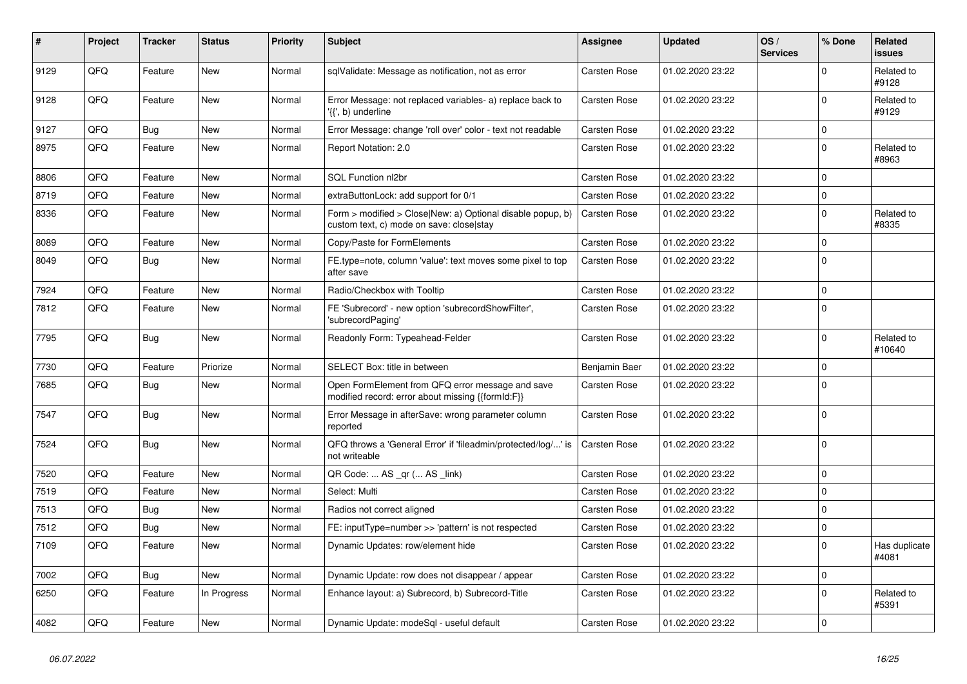| #    | Project | <b>Tracker</b> | <b>Status</b> | <b>Priority</b> | <b>Subject</b>                                                                                         | Assignee            | <b>Updated</b>   | OS/<br><b>Services</b> | % Done         | Related<br><b>issues</b> |
|------|---------|----------------|---------------|-----------------|--------------------------------------------------------------------------------------------------------|---------------------|------------------|------------------------|----------------|--------------------------|
| 9129 | QFQ     | Feature        | <b>New</b>    | Normal          | sqlValidate: Message as notification, not as error                                                     | Carsten Rose        | 01.02.2020 23:22 |                        | $\mathbf 0$    | Related to<br>#9128      |
| 9128 | QFQ     | Feature        | <b>New</b>    | Normal          | Error Message: not replaced variables- a) replace back to<br>'{{', b) underline                        | Carsten Rose        | 01.02.2020 23:22 |                        | 0              | Related to<br>#9129      |
| 9127 | QFQ     | Bug            | <b>New</b>    | Normal          | Error Message: change 'roll over' color - text not readable                                            | Carsten Rose        | 01.02.2020 23:22 |                        | 0              |                          |
| 8975 | QFQ     | Feature        | <b>New</b>    | Normal          | Report Notation: 2.0                                                                                   | <b>Carsten Rose</b> | 01.02.2020 23:22 |                        | $\mathbf 0$    | Related to<br>#8963      |
| 8806 | QFQ     | Feature        | <b>New</b>    | Normal          | <b>SQL Function nl2br</b>                                                                              | Carsten Rose        | 01.02.2020 23:22 |                        | 0              |                          |
| 8719 | QFQ     | Feature        | <b>New</b>    | Normal          | extraButtonLock: add support for 0/1                                                                   | Carsten Rose        | 01.02.2020 23:22 |                        | 0              |                          |
| 8336 | QFQ     | Feature        | <b>New</b>    | Normal          | Form > modified > Close New: a) Optional disable popup, b)<br>custom text, c) mode on save: close stay | Carsten Rose        | 01.02.2020 23:22 |                        | $\Omega$       | Related to<br>#8335      |
| 8089 | QFQ     | Feature        | <b>New</b>    | Normal          | Copy/Paste for FormElements                                                                            | <b>Carsten Rose</b> | 01.02.2020 23:22 |                        | 0              |                          |
| 8049 | QFQ     | Bug            | <b>New</b>    | Normal          | FE.type=note, column 'value': text moves some pixel to top<br>after save                               | <b>Carsten Rose</b> | 01.02.2020 23:22 |                        | $\Omega$       |                          |
| 7924 | QFQ     | Feature        | New           | Normal          | Radio/Checkbox with Tooltip                                                                            | Carsten Rose        | 01.02.2020 23:22 |                        | 0              |                          |
| 7812 | QFQ     | Feature        | <b>New</b>    | Normal          | FE 'Subrecord' - new option 'subrecordShowFilter',<br>'subrecordPaging'                                | <b>Carsten Rose</b> | 01.02.2020 23:22 |                        | $\Omega$       |                          |
| 7795 | QFQ     | Bug            | <b>New</b>    | Normal          | Readonly Form: Typeahead-Felder                                                                        | Carsten Rose        | 01.02.2020 23:22 |                        | $\Omega$       | Related to<br>#10640     |
| 7730 | QFQ     | Feature        | Priorize      | Normal          | SELECT Box: title in between                                                                           | Benjamin Baer       | 01.02.2020 23:22 |                        | $\mathbf 0$    |                          |
| 7685 | QFQ     | Bug            | <b>New</b>    | Normal          | Open FormElement from QFQ error message and save<br>modified record: error about missing {{formId:F}}  | Carsten Rose        | 01.02.2020 23:22 |                        | <sup>0</sup>   |                          |
| 7547 | QFQ     | <b>Bug</b>     | New           | Normal          | Error Message in afterSave: wrong parameter column<br>reported                                         | <b>Carsten Rose</b> | 01.02.2020 23:22 |                        | 0              |                          |
| 7524 | QFQ     | Bug            | <b>New</b>    | Normal          | QFQ throws a 'General Error' if 'fileadmin/protected/log/' is<br>not writeable                         | <b>Carsten Rose</b> | 01.02.2020 23:22 |                        | 0              |                          |
| 7520 | QFQ     | Feature        | <b>New</b>    | Normal          | QR Code:  AS _qr ( AS _link)                                                                           | Carsten Rose        | 01.02.2020 23:22 |                        | 0              |                          |
| 7519 | QFQ     | Feature        | New           | Normal          | Select: Multi                                                                                          | Carsten Rose        | 01.02.2020 23:22 |                        | 0              |                          |
| 7513 | QFQ     | Bug            | <b>New</b>    | Normal          | Radios not correct aligned                                                                             | <b>Carsten Rose</b> | 01.02.2020 23:22 |                        | 0              |                          |
| 7512 | QFQ     | <b>Bug</b>     | <b>New</b>    | Normal          | FE: inputType=number >> 'pattern' is not respected                                                     | <b>Carsten Rose</b> | 01.02.2020 23:22 |                        | 0              |                          |
| 7109 | QFQ     | Feature        | New           | Normal          | Dynamic Updates: row/element hide                                                                      | <b>Carsten Rose</b> | 01.02.2020 23:22 |                        | $\overline{0}$ | Has duplicate<br>#4081   |
| 7002 | QFQ     | Bug            | New           | Normal          | Dynamic Update: row does not disappear / appear                                                        | <b>Carsten Rose</b> | 01.02.2020 23:22 |                        | 0              |                          |
| 6250 | QFQ     | Feature        | In Progress   | Normal          | Enhance layout: a) Subrecord, b) Subrecord-Title                                                       | <b>Carsten Rose</b> | 01.02.2020 23:22 |                        | $\mathbf 0$    | Related to<br>#5391      |
| 4082 | QFQ     | Feature        | New           | Normal          | Dynamic Update: modeSql - useful default                                                               | <b>Carsten Rose</b> | 01.02.2020 23:22 |                        | $\Omega$       |                          |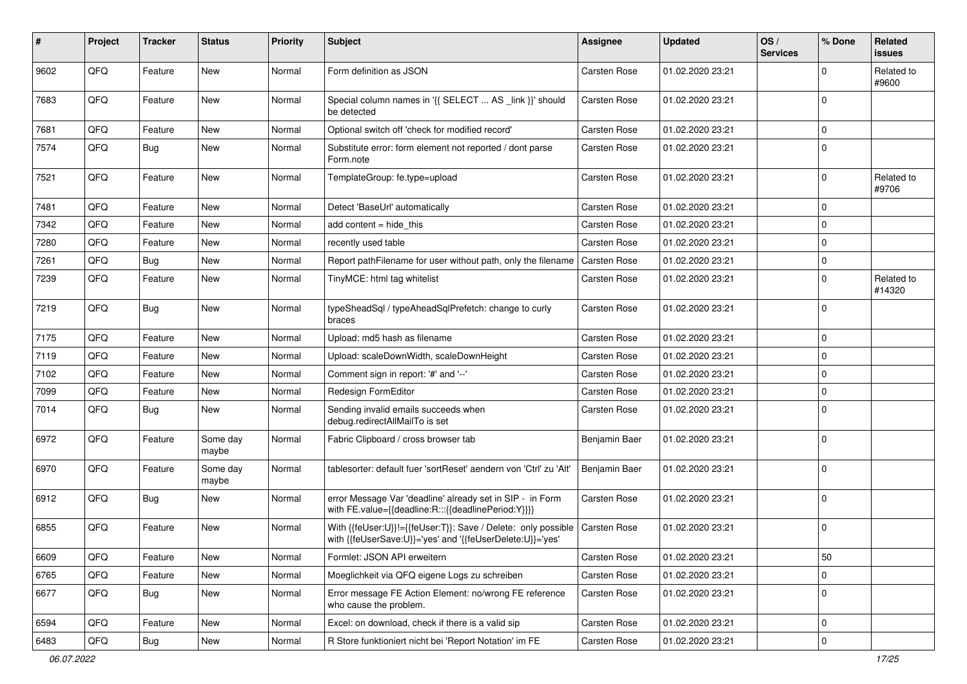| #    | Project | <b>Tracker</b> | <b>Status</b>     | <b>Priority</b> | Subject                                                                                                                    | <b>Assignee</b>     | <b>Updated</b>   | OS/<br><b>Services</b> | % Done      | <b>Related</b><br><b>issues</b> |
|------|---------|----------------|-------------------|-----------------|----------------------------------------------------------------------------------------------------------------------------|---------------------|------------------|------------------------|-------------|---------------------------------|
| 9602 | QFQ     | Feature        | New               | Normal          | Form definition as JSON                                                                                                    | Carsten Rose        | 01.02.2020 23:21 |                        | $\Omega$    | Related to<br>#9600             |
| 7683 | QFQ     | Feature        | New               | Normal          | Special column names in '{{ SELECT  AS _link }}' should<br>be detected                                                     | <b>Carsten Rose</b> | 01.02.2020 23:21 |                        | $\mathbf 0$ |                                 |
| 7681 | QFQ     | Feature        | <b>New</b>        | Normal          | Optional switch off 'check for modified record'                                                                            | Carsten Rose        | 01.02.2020 23:21 |                        | $\mathbf 0$ |                                 |
| 7574 | QFQ     | Bug            | <b>New</b>        | Normal          | Substitute error: form element not reported / dont parse<br>Form.note                                                      | Carsten Rose        | 01.02.2020 23:21 |                        | $\mathbf 0$ |                                 |
| 7521 | QFQ     | Feature        | <b>New</b>        | Normal          | TemplateGroup: fe.type=upload                                                                                              | Carsten Rose        | 01.02.2020 23:21 |                        | $\mathbf 0$ | Related to<br>#9706             |
| 7481 | QFQ     | Feature        | <b>New</b>        | Normal          | Detect 'BaseUrl' automatically                                                                                             | <b>Carsten Rose</b> | 01.02.2020 23:21 |                        | $\mathbf 0$ |                                 |
| 7342 | QFQ     | Feature        | New               | Normal          | add content $=$ hide this                                                                                                  | Carsten Rose        | 01.02.2020 23:21 |                        | $\mathbf 0$ |                                 |
| 7280 | QFQ     | Feature        | New               | Normal          | recently used table                                                                                                        | Carsten Rose        | 01.02.2020 23:21 |                        | $\mathbf 0$ |                                 |
| 7261 | QFQ     | Bug            | New               | Normal          | Report pathFilename for user without path, only the filename                                                               | <b>Carsten Rose</b> | 01.02.2020 23:21 |                        | 0           |                                 |
| 7239 | QFQ     | Feature        | New               | Normal          | TinyMCE: html tag whitelist                                                                                                | Carsten Rose        | 01.02.2020 23:21 |                        | $\mathbf 0$ | Related to<br>#14320            |
| 7219 | QFQ     | Bug            | <b>New</b>        | Normal          | typeSheadSql / typeAheadSqlPrefetch: change to curly<br>braces                                                             | Carsten Rose        | 01.02.2020 23:21 |                        | $\mathbf 0$ |                                 |
| 7175 | QFQ     | Feature        | New               | Normal          | Upload: md5 hash as filename                                                                                               | Carsten Rose        | 01.02.2020 23:21 |                        | $\mathbf 0$ |                                 |
| 7119 | QFQ     | Feature        | New               | Normal          | Upload: scaleDownWidth, scaleDownHeight                                                                                    | Carsten Rose        | 01.02.2020 23:21 |                        | $\mathbf 0$ |                                 |
| 7102 | QFQ     | Feature        | <b>New</b>        | Normal          | Comment sign in report: '#' and '--'                                                                                       | Carsten Rose        | 01.02.2020 23:21 |                        | $\mathbf 0$ |                                 |
| 7099 | QFQ     | Feature        | New               | Normal          | Redesign FormEditor                                                                                                        | Carsten Rose        | 01.02.2020 23:21 |                        | $\mathbf 0$ |                                 |
| 7014 | QFQ     | <b>Bug</b>     | New               | Normal          | Sending invalid emails succeeds when<br>debug.redirectAllMailTo is set                                                     | Carsten Rose        | 01.02.2020 23:21 |                        | $\Omega$    |                                 |
| 6972 | QFQ     | Feature        | Some day<br>maybe | Normal          | Fabric Clipboard / cross browser tab                                                                                       | Benjamin Baer       | 01.02.2020 23:21 |                        | $\mathbf 0$ |                                 |
| 6970 | QFQ     | Feature        | Some day<br>maybe | Normal          | tablesorter: default fuer 'sortReset' aendern von 'Ctrl' zu 'Alt'                                                          | Benjamin Baer       | 01.02.2020 23:21 |                        | $\mathbf 0$ |                                 |
| 6912 | QFQ     | Bug            | <b>New</b>        | Normal          | error Message Var 'deadline' already set in SIP - in Form<br>with FE.value={{deadline:R:::{{deadlinePeriod:Y}}}}           | Carsten Rose        | 01.02.2020 23:21 |                        | $\mathbf 0$ |                                 |
| 6855 | QFQ     | Feature        | New               | Normal          | With {{feUser:U}}!={{feUser:T}}: Save / Delete: only possible<br>with {{feUserSave:U}}='yes' and '{{feUserDelete:U}}='yes' | Carsten Rose        | 01.02.2020 23:21 |                        | $\mathbf 0$ |                                 |
| 6609 | QFO     | Feature        | New               | Normal          | Formlet: JSON API erweitern                                                                                                | Carsten Rose        | 01.02.2020 23:21 |                        | 50          |                                 |
| 6765 | QFQ     | Feature        | New               | Normal          | Moeglichkeit via QFQ eigene Logs zu schreiben                                                                              | Carsten Rose        | 01.02.2020 23:21 |                        | $\mathbf 0$ |                                 |
| 6677 | QFQ     | <b>Bug</b>     | New               | Normal          | Error message FE Action Element: no/wrong FE reference<br>who cause the problem.                                           | Carsten Rose        | 01.02.2020 23:21 |                        | 0           |                                 |
| 6594 | QFQ     | Feature        | New               | Normal          | Excel: on download, check if there is a valid sip                                                                          | Carsten Rose        | 01.02.2020 23:21 |                        | 0           |                                 |
| 6483 | QFG     | <b>Bug</b>     | New               | Normal          | R Store funktioniert nicht bei 'Report Notation' im FE                                                                     | Carsten Rose        | 01.02.2020 23:21 |                        | $\pmb{0}$   |                                 |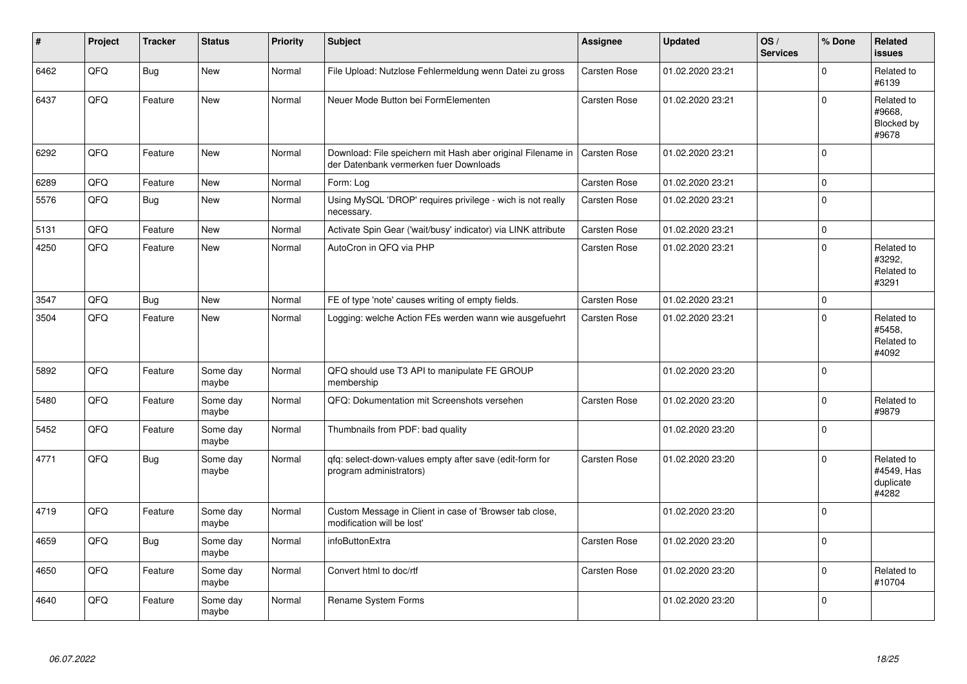| #    | Project | <b>Tracker</b> | <b>Status</b>     | <b>Priority</b> | <b>Subject</b>                                                                                        | Assignee            | <b>Updated</b>   | OS/<br><b>Services</b> | % Done      | <b>Related</b><br><b>issues</b>                |
|------|---------|----------------|-------------------|-----------------|-------------------------------------------------------------------------------------------------------|---------------------|------------------|------------------------|-------------|------------------------------------------------|
| 6462 | QFQ     | <b>Bug</b>     | New               | Normal          | File Upload: Nutzlose Fehlermeldung wenn Datei zu gross                                               | <b>Carsten Rose</b> | 01.02.2020 23:21 |                        | $\mathbf 0$ | Related to<br>#6139                            |
| 6437 | QFQ     | Feature        | <b>New</b>        | Normal          | Neuer Mode Button bei FormElementen                                                                   | Carsten Rose        | 01.02.2020 23:21 |                        | $\Omega$    | Related to<br>#9668,<br>Blocked by<br>#9678    |
| 6292 | QFQ     | Feature        | <b>New</b>        | Normal          | Download: File speichern mit Hash aber original Filename in<br>der Datenbank vermerken fuer Downloads | Carsten Rose        | 01.02.2020 23:21 |                        | $\Omega$    |                                                |
| 6289 | QFQ     | Feature        | <b>New</b>        | Normal          | Form: Log                                                                                             | Carsten Rose        | 01.02.2020 23:21 |                        | 0           |                                                |
| 5576 | QFQ     | Bug            | New               | Normal          | Using MySQL 'DROP' requires privilege - wich is not really<br>necessary.                              | <b>Carsten Rose</b> | 01.02.2020 23:21 |                        | 0           |                                                |
| 5131 | QFQ     | Feature        | <b>New</b>        | Normal          | Activate Spin Gear ('wait/busy' indicator) via LINK attribute                                         | Carsten Rose        | 01.02.2020 23:21 |                        | $\Omega$    |                                                |
| 4250 | QFQ     | Feature        | New               | Normal          | AutoCron in QFQ via PHP                                                                               | <b>Carsten Rose</b> | 01.02.2020 23:21 |                        | $\mathbf 0$ | Related to<br>#3292,<br>Related to<br>#3291    |
| 3547 | QFQ     | Bug            | <b>New</b>        | Normal          | FE of type 'note' causes writing of empty fields.                                                     | Carsten Rose        | 01.02.2020 23:21 |                        | 0           |                                                |
| 3504 | QFQ     | Feature        | <b>New</b>        | Normal          | Logging: welche Action FEs werden wann wie ausgefuehrt                                                | <b>Carsten Rose</b> | 01.02.2020 23:21 |                        | $\Omega$    | Related to<br>#5458.<br>Related to<br>#4092    |
| 5892 | QFQ     | Feature        | Some day<br>maybe | Normal          | QFQ should use T3 API to manipulate FE GROUP<br>membership                                            |                     | 01.02.2020 23:20 |                        | $\Omega$    |                                                |
| 5480 | QFQ     | Feature        | Some day<br>maybe | Normal          | QFQ: Dokumentation mit Screenshots versehen                                                           | Carsten Rose        | 01.02.2020 23:20 |                        | $\mathbf 0$ | Related to<br>#9879                            |
| 5452 | QFQ     | Feature        | Some day<br>maybe | Normal          | Thumbnails from PDF: bad quality                                                                      |                     | 01.02.2020 23:20 |                        | $\mathbf 0$ |                                                |
| 4771 | QFQ     | <b>Bug</b>     | Some day<br>maybe | Normal          | qfq: select-down-values empty after save (edit-form for<br>program administrators)                    | Carsten Rose        | 01.02.2020 23:20 |                        | 0           | Related to<br>#4549, Has<br>duplicate<br>#4282 |
| 4719 | QFQ     | Feature        | Some day<br>maybe | Normal          | Custom Message in Client in case of 'Browser tab close,<br>modification will be lost'                 |                     | 01.02.2020 23:20 |                        | $\Omega$    |                                                |
| 4659 | QFQ     | <b>Bug</b>     | Some day<br>maybe | Normal          | infoButtonExtra                                                                                       | Carsten Rose        | 01.02.2020 23:20 |                        | $\Omega$    |                                                |
| 4650 | QFQ     | Feature        | Some day<br>maybe | Normal          | Convert html to doc/rtf                                                                               | <b>Carsten Rose</b> | 01.02.2020 23:20 |                        | $\mathbf 0$ | Related to<br>#10704                           |
| 4640 | QFQ     | Feature        | Some day<br>maybe | Normal          | Rename System Forms                                                                                   |                     | 01.02.2020 23:20 |                        | $\Omega$    |                                                |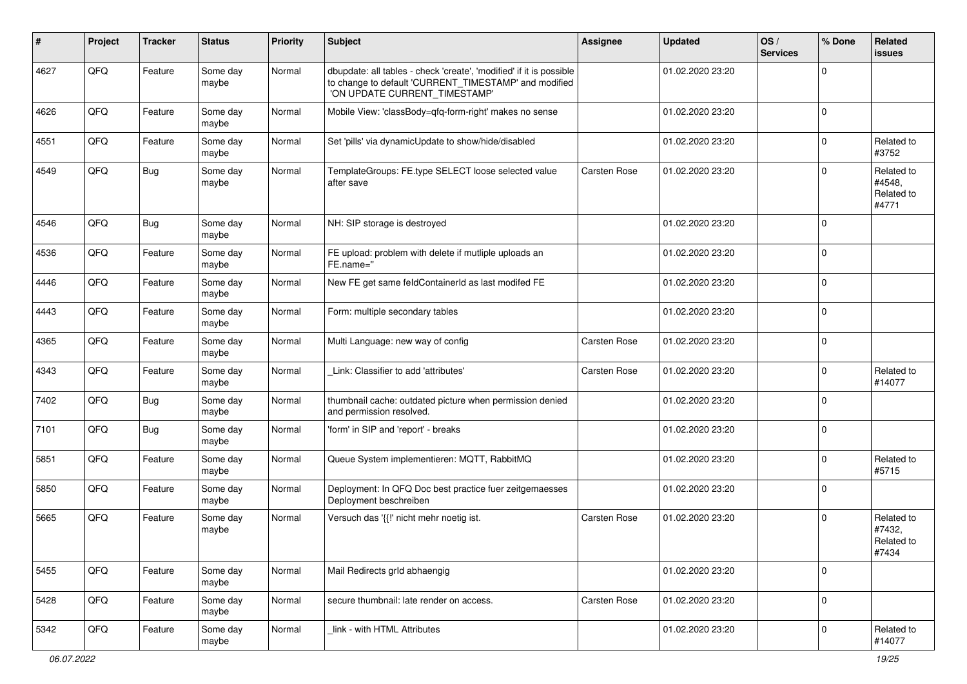| ∦    | Project | <b>Tracker</b> | <b>Status</b>     | <b>Priority</b> | <b>Subject</b>                                                                                                                                                | Assignee            | <b>Updated</b>   | OS/<br><b>Services</b> | % Done      | Related<br><b>issues</b>                    |
|------|---------|----------------|-------------------|-----------------|---------------------------------------------------------------------------------------------------------------------------------------------------------------|---------------------|------------------|------------------------|-------------|---------------------------------------------|
| 4627 | QFQ     | Feature        | Some day<br>maybe | Normal          | dbupdate: all tables - check 'create', 'modified' if it is possible<br>to change to default 'CURRENT_TIMESTAMP' and modified<br>'ON UPDATE CURRENT_TIMESTAMP' |                     | 01.02.2020 23:20 |                        | 0           |                                             |
| 4626 | QFQ     | Feature        | Some day<br>maybe | Normal          | Mobile View: 'classBody=qfq-form-right' makes no sense                                                                                                        |                     | 01.02.2020 23:20 |                        | $\mathbf 0$ |                                             |
| 4551 | QFQ     | Feature        | Some day<br>maybe | Normal          | Set 'pills' via dynamicUpdate to show/hide/disabled                                                                                                           |                     | 01.02.2020 23:20 |                        | 0           | Related to<br>#3752                         |
| 4549 | QFQ     | <b>Bug</b>     | Some day<br>maybe | Normal          | TemplateGroups: FE.type SELECT loose selected value<br>after save                                                                                             | Carsten Rose        | 01.02.2020 23:20 |                        | $\Omega$    | Related to<br>#4548,<br>Related to<br>#4771 |
| 4546 | QFQ     | <b>Bug</b>     | Some day<br>maybe | Normal          | NH: SIP storage is destroyed                                                                                                                                  |                     | 01.02.2020 23:20 |                        | 0           |                                             |
| 4536 | QFQ     | Feature        | Some day<br>maybe | Normal          | FE upload: problem with delete if mutliple uploads an<br>FE.name="                                                                                            |                     | 01.02.2020 23:20 |                        | 0           |                                             |
| 4446 | QFQ     | Feature        | Some day<br>maybe | Normal          | New FE get same feldContainerId as last modifed FE                                                                                                            |                     | 01.02.2020 23:20 |                        | 0           |                                             |
| 4443 | QFQ     | Feature        | Some day<br>maybe | Normal          | Form: multiple secondary tables                                                                                                                               |                     | 01.02.2020 23:20 |                        | $\Omega$    |                                             |
| 4365 | QFQ     | Feature        | Some day<br>maybe | Normal          | Multi Language: new way of config                                                                                                                             | <b>Carsten Rose</b> | 01.02.2020 23:20 |                        | 0           |                                             |
| 4343 | QFQ     | Feature        | Some day<br>maybe | Normal          | Link: Classifier to add 'attributes'                                                                                                                          | Carsten Rose        | 01.02.2020 23:20 |                        | $\Omega$    | Related to<br>#14077                        |
| 7402 | QFQ     | Bug            | Some day<br>maybe | Normal          | thumbnail cache: outdated picture when permission denied<br>and permission resolved.                                                                          |                     | 01.02.2020 23:20 |                        | 0           |                                             |
| 7101 | QFQ     | <b>Bug</b>     | Some day<br>maybe | Normal          | 'form' in SIP and 'report' - breaks                                                                                                                           |                     | 01.02.2020 23:20 |                        | 0           |                                             |
| 5851 | QFQ     | Feature        | Some day<br>maybe | Normal          | Queue System implementieren: MQTT, RabbitMQ                                                                                                                   |                     | 01.02.2020 23:20 |                        | 0           | Related to<br>#5715                         |
| 5850 | QFQ     | Feature        | Some day<br>maybe | Normal          | Deployment: In QFQ Doc best practice fuer zeitgemaesses<br>Deployment beschreiben                                                                             |                     | 01.02.2020 23:20 |                        | 0           |                                             |
| 5665 | QFQ     | Feature        | Some day<br>maybe | Normal          | Versuch das '{{!' nicht mehr noetig ist.                                                                                                                      | Carsten Rose        | 01.02.2020 23:20 |                        | $\Omega$    | Related to<br>#7432,<br>Related to<br>#7434 |
| 5455 | QFO     | Feature        | Some day<br>maybe | Normal          | Mail Redirects grld abhaengig                                                                                                                                 |                     | 01.02.2020 23:20 |                        | 0           |                                             |
| 5428 | QFQ     | Feature        | Some day<br>maybe | Normal          | secure thumbnail: late render on access.                                                                                                                      | Carsten Rose        | 01.02.2020 23:20 |                        | 0           |                                             |
| 5342 | QFO     | Feature        | Some day<br>maybe | Normal          | link - with HTML Attributes                                                                                                                                   |                     | 01.02.2020 23:20 |                        | 0           | Related to<br>#14077                        |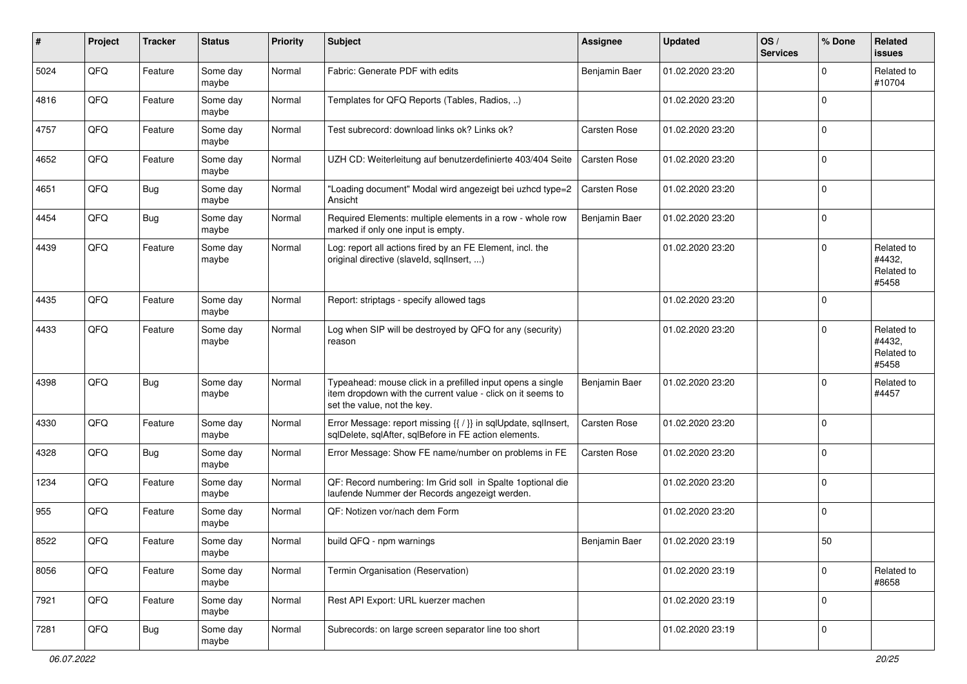| $\#$ | Project | <b>Tracker</b> | <b>Status</b>     | <b>Priority</b> | <b>Subject</b>                                                                                                                                           | <b>Assignee</b> | <b>Updated</b>   | OS/<br><b>Services</b> | % Done              | Related<br>issues                           |
|------|---------|----------------|-------------------|-----------------|----------------------------------------------------------------------------------------------------------------------------------------------------------|-----------------|------------------|------------------------|---------------------|---------------------------------------------|
| 5024 | QFQ     | Feature        | Some day<br>maybe | Normal          | Fabric: Generate PDF with edits                                                                                                                          | Benjamin Baer   | 01.02.2020 23:20 |                        | $\mathbf 0$         | Related to<br>#10704                        |
| 4816 | QFQ     | Feature        | Some day<br>maybe | Normal          | Templates for QFQ Reports (Tables, Radios, )                                                                                                             |                 | 01.02.2020 23:20 |                        | $\mathbf 0$         |                                             |
| 4757 | QFQ     | Feature        | Some day<br>maybe | Normal          | Test subrecord: download links ok? Links ok?                                                                                                             | Carsten Rose    | 01.02.2020 23:20 |                        | $\Omega$            |                                             |
| 4652 | QFQ     | Feature        | Some day<br>maybe | Normal          | UZH CD: Weiterleitung auf benutzerdefinierte 403/404 Seite                                                                                               | Carsten Rose    | 01.02.2020 23:20 |                        | $\mathbf 0$         |                                             |
| 4651 | QFQ     | Bug            | Some day<br>maybe | Normal          | "Loading document" Modal wird angezeigt bei uzhcd type=2<br>Ansicht                                                                                      | Carsten Rose    | 01.02.2020 23:20 |                        | 0                   |                                             |
| 4454 | QFQ     | <b>Bug</b>     | Some day<br>maybe | Normal          | Required Elements: multiple elements in a row - whole row<br>marked if only one input is empty.                                                          | Benjamin Baer   | 01.02.2020 23:20 |                        | $\mathbf 0$         |                                             |
| 4439 | QFQ     | Feature        | Some day<br>maybe | Normal          | Log: report all actions fired by an FE Element, incl. the<br>original directive (slaveld, sqllnsert, )                                                   |                 | 01.02.2020 23:20 |                        | $\Omega$            | Related to<br>#4432,<br>Related to<br>#5458 |
| 4435 | QFQ     | Feature        | Some day<br>maybe | Normal          | Report: striptags - specify allowed tags                                                                                                                 |                 | 01.02.2020 23:20 |                        | $\mathbf 0$         |                                             |
| 4433 | QFQ     | Feature        | Some day<br>maybe | Normal          | Log when SIP will be destroyed by QFQ for any (security)<br>reason                                                                                       |                 | 01.02.2020 23:20 |                        | $\mathbf 0$         | Related to<br>#4432,<br>Related to<br>#5458 |
| 4398 | QFQ     | Bug            | Some day<br>maybe | Normal          | Typeahead: mouse click in a prefilled input opens a single<br>item dropdown with the current value - click on it seems to<br>set the value, not the key. | Benjamin Baer   | 01.02.2020 23:20 |                        | $\mathbf 0$         | Related to<br>#4457                         |
| 4330 | QFQ     | Feature        | Some day<br>maybe | Normal          | Error Message: report missing {{ / }} in sqlUpdate, sqlInsert,<br>sqlDelete, sqlAfter, sqlBefore in FE action elements.                                  | Carsten Rose    | 01.02.2020 23:20 |                        | $\mathbf 0$         |                                             |
| 4328 | QFQ     | <b>Bug</b>     | Some day<br>maybe | Normal          | Error Message: Show FE name/number on problems in FE                                                                                                     | Carsten Rose    | 01.02.2020 23:20 |                        | $\Omega$            |                                             |
| 1234 | QFQ     | Feature        | Some day<br>maybe | Normal          | QF: Record numbering: Im Grid soll in Spalte 1optional die<br>laufende Nummer der Records angezeigt werden.                                              |                 | 01.02.2020 23:20 |                        | $\Omega$            |                                             |
| 955  | QFQ     | Feature        | Some day<br>maybe | Normal          | QF: Notizen vor/nach dem Form                                                                                                                            |                 | 01.02.2020 23:20 |                        | $\mathbf 0$         |                                             |
| 8522 | QFQ     | Feature        | Some day<br>maybe | Normal          | build QFQ - npm warnings                                                                                                                                 | Benjamin Baer   | 01.02.2020 23:19 |                        | 50                  |                                             |
| 8056 | QFQ     | Feature        | Some day<br>maybe | Normal          | Termin Organisation (Reservation)                                                                                                                        |                 | 01.02.2020 23:19 |                        | $\mathsf{O}\xspace$ | Related to<br>#8658                         |
| 7921 | QFQ     | Feature        | Some day<br>maybe | Normal          | Rest API Export: URL kuerzer machen                                                                                                                      |                 | 01.02.2020 23:19 |                        | $\mathsf{O}\xspace$ |                                             |
| 7281 | QFQ     | Bug            | Some day<br>maybe | Normal          | Subrecords: on large screen separator line too short                                                                                                     |                 | 01.02.2020 23:19 |                        | $\pmb{0}$           |                                             |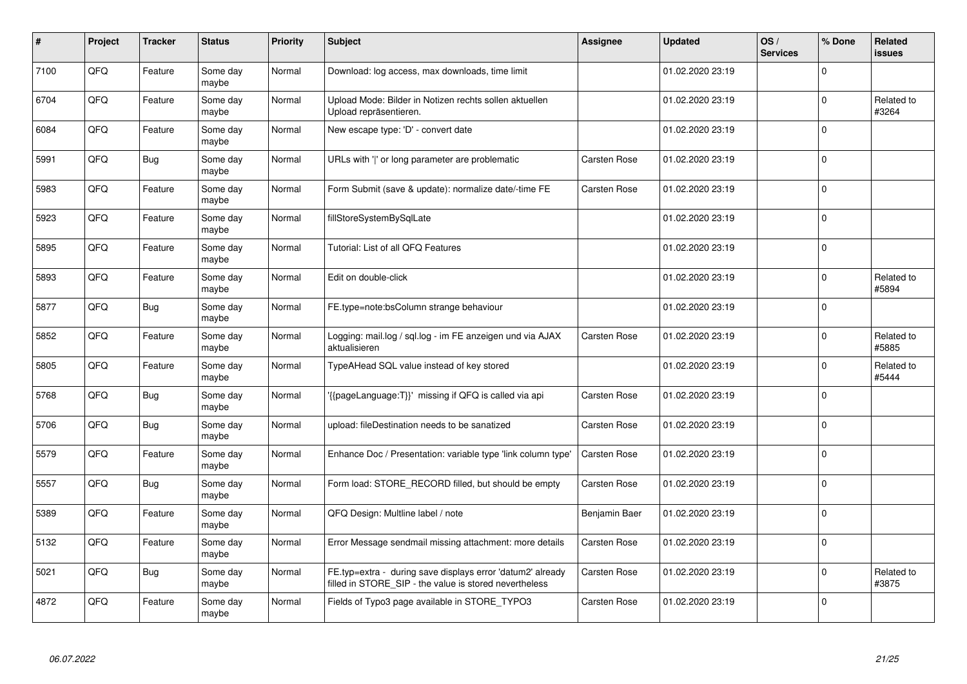| #    | Project | <b>Tracker</b> | <b>Status</b>     | <b>Priority</b> | <b>Subject</b>                                                                                                       | Assignee            | <b>Updated</b>   | OS/<br><b>Services</b> | % Done              | Related<br>issues   |
|------|---------|----------------|-------------------|-----------------|----------------------------------------------------------------------------------------------------------------------|---------------------|------------------|------------------------|---------------------|---------------------|
| 7100 | QFQ     | Feature        | Some day<br>maybe | Normal          | Download: log access, max downloads, time limit                                                                      |                     | 01.02.2020 23:19 |                        | $\Omega$            |                     |
| 6704 | QFQ     | Feature        | Some day<br>maybe | Normal          | Upload Mode: Bilder in Notizen rechts sollen aktuellen<br>Upload repräsentieren.                                     |                     | 01.02.2020 23:19 |                        | $\mathbf 0$         | Related to<br>#3264 |
| 6084 | QFQ     | Feature        | Some day<br>maybe | Normal          | New escape type: 'D' - convert date                                                                                  |                     | 01.02.2020 23:19 |                        | $\mathsf{O}\xspace$ |                     |
| 5991 | QFQ     | <b>Bug</b>     | Some day<br>maybe | Normal          | URLs with ' ' or long parameter are problematic                                                                      | <b>Carsten Rose</b> | 01.02.2020 23:19 |                        | $\Omega$            |                     |
| 5983 | QFQ     | Feature        | Some day<br>maybe | Normal          | Form Submit (save & update): normalize date/-time FE                                                                 | <b>Carsten Rose</b> | 01.02.2020 23:19 |                        | $\mathbf 0$         |                     |
| 5923 | QFQ     | Feature        | Some day<br>maybe | Normal          | fillStoreSystemBySqlLate                                                                                             |                     | 01.02.2020 23:19 |                        | $\Omega$            |                     |
| 5895 | QFQ     | Feature        | Some day<br>maybe | Normal          | Tutorial: List of all QFQ Features                                                                                   |                     | 01.02.2020 23:19 |                        | $\mathbf 0$         |                     |
| 5893 | QFQ     | Feature        | Some day<br>maybe | Normal          | Edit on double-click                                                                                                 |                     | 01.02.2020 23:19 |                        | 0                   | Related to<br>#5894 |
| 5877 | QFQ     | <b>Bug</b>     | Some day<br>maybe | Normal          | FE.type=note:bsColumn strange behaviour                                                                              |                     | 01.02.2020 23:19 |                        | $\Omega$            |                     |
| 5852 | QFQ     | Feature        | Some dav<br>maybe | Normal          | Logging: mail.log / sql.log - im FE anzeigen und via AJAX<br>aktualisieren                                           | <b>Carsten Rose</b> | 01.02.2020 23:19 |                        | $\mathbf 0$         | Related to<br>#5885 |
| 5805 | QFQ     | Feature        | Some day<br>maybe | Normal          | TypeAHead SQL value instead of key stored                                                                            |                     | 01.02.2020 23:19 |                        | 0                   | Related to<br>#5444 |
| 5768 | QFQ     | <b>Bug</b>     | Some day<br>maybe | Normal          | {{pageLanguage:T}}' missing if QFQ is called via api                                                                 | Carsten Rose        | 01.02.2020 23:19 |                        | $\mathbf 0$         |                     |
| 5706 | QFQ     | <b>Bug</b>     | Some dav<br>maybe | Normal          | upload: fileDestination needs to be sanatized                                                                        | <b>Carsten Rose</b> | 01.02.2020 23:19 |                        | $\mathbf 0$         |                     |
| 5579 | QFQ     | Feature        | Some day<br>maybe | Normal          | Enhance Doc / Presentation: variable type 'link column type'                                                         | <b>Carsten Rose</b> | 01.02.2020 23:19 |                        | 0                   |                     |
| 5557 | QFQ     | Bug            | Some day<br>maybe | Normal          | Form load: STORE_RECORD filled, but should be empty                                                                  | Carsten Rose        | 01.02.2020 23:19 |                        | $\Omega$            |                     |
| 5389 | QFQ     | Feature        | Some day<br>maybe | Normal          | QFQ Design: Multline label / note                                                                                    | Benjamin Baer       | 01.02.2020 23:19 |                        | $\Omega$            |                     |
| 5132 | QFQ     | Feature        | Some day<br>maybe | Normal          | Error Message sendmail missing attachment: more details                                                              | <b>Carsten Rose</b> | 01.02.2020 23:19 |                        | $\mathbf 0$         |                     |
| 5021 | QFQ     | <b>Bug</b>     | Some day<br>maybe | Normal          | FE.typ=extra - during save displays error 'datum2' already<br>filled in STORE_SIP - the value is stored nevertheless | Carsten Rose        | 01.02.2020 23:19 |                        | 0                   | Related to<br>#3875 |
| 4872 | QFQ     | Feature        | Some day<br>maybe | Normal          | Fields of Typo3 page available in STORE_TYPO3                                                                        | <b>Carsten Rose</b> | 01.02.2020 23:19 |                        | $\Omega$            |                     |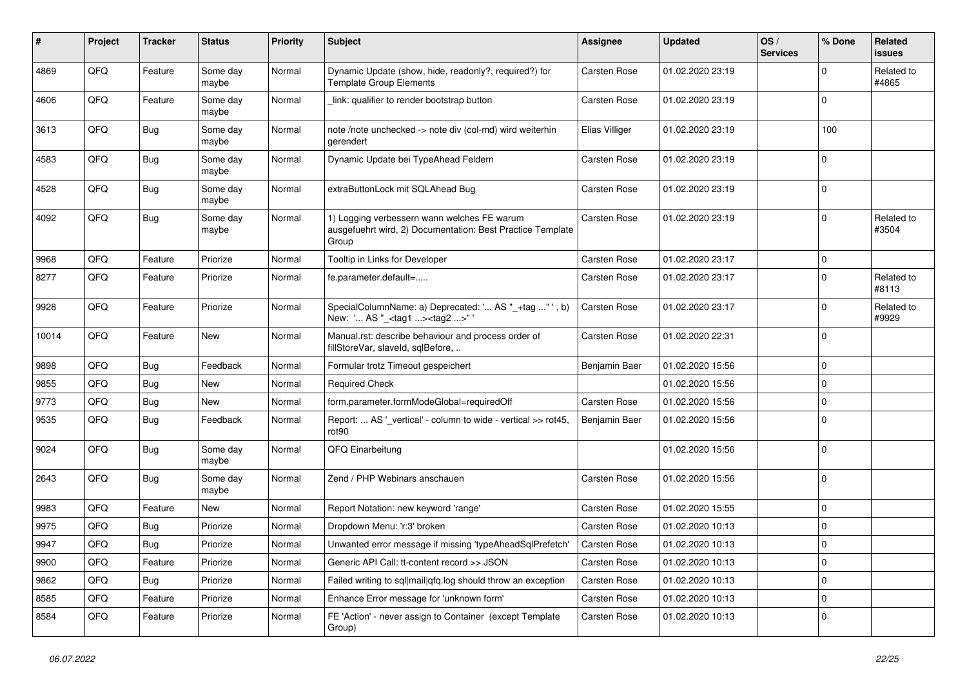| #     | Project | <b>Tracker</b> | <b>Status</b>     | <b>Priority</b> | Subject                                                                                                            | Assignee            | <b>Updated</b>   | OS/<br><b>Services</b> | % Done      | Related<br><b>issues</b> |
|-------|---------|----------------|-------------------|-----------------|--------------------------------------------------------------------------------------------------------------------|---------------------|------------------|------------------------|-------------|--------------------------|
| 4869  | QFQ     | Feature        | Some day<br>maybe | Normal          | Dynamic Update (show, hide, readonly?, required?) for<br><b>Template Group Elements</b>                            | Carsten Rose        | 01.02.2020 23:19 |                        | $\Omega$    | Related to<br>#4865      |
| 4606  | QFQ     | Feature        | Some day<br>maybe | Normal          | link: qualifier to render bootstrap button                                                                         | <b>Carsten Rose</b> | 01.02.2020 23:19 |                        | $\mathbf 0$ |                          |
| 3613  | QFQ     | Bug            | Some day<br>maybe | Normal          | note /note unchecked -> note div (col-md) wird weiterhin<br>gerendert                                              | Elias Villiger      | 01.02.2020 23:19 |                        | 100         |                          |
| 4583  | QFQ     | Bug            | Some day<br>maybe | Normal          | Dynamic Update bei TypeAhead Feldern                                                                               | Carsten Rose        | 01.02.2020 23:19 |                        | $\mathbf 0$ |                          |
| 4528  | QFQ     | Bug            | Some day<br>maybe | Normal          | extraButtonLock mit SQLAhead Bug                                                                                   | Carsten Rose        | 01.02.2020 23:19 |                        | $\mathbf 0$ |                          |
| 4092  | QFQ     | Bug            | Some day<br>maybe | Normal          | 1) Logging verbessern wann welches FE warum<br>ausgefuehrt wird, 2) Documentation: Best Practice Template<br>Group | Carsten Rose        | 01.02.2020 23:19 |                        | $\mathbf 0$ | Related to<br>#3504      |
| 9968  | QFQ     | Feature        | Priorize          | Normal          | Tooltip in Links for Developer                                                                                     | Carsten Rose        | 01.02.2020 23:17 |                        | $\mathbf 0$ |                          |
| 8277  | QFQ     | Feature        | Priorize          | Normal          | fe.parameter.default=                                                                                              | <b>Carsten Rose</b> | 01.02.2020 23:17 |                        | $\Omega$    | Related to<br>#8113      |
| 9928  | QFQ     | Feature        | Priorize          | Normal          | SpecialColumnName: a) Deprecated: ' AS "_+tag " ', b)<br>New: ' AS "_ <tag1><tag2>"</tag2></tag1>                  | Carsten Rose        | 01.02.2020 23:17 |                        | $\Omega$    | Related to<br>#9929      |
| 10014 | QFQ     | Feature        | New               | Normal          | Manual.rst: describe behaviour and process order of<br>fillStoreVar, slaveId, sqlBefore,                           | Carsten Rose        | 01.02.2020 22:31 |                        | $\Omega$    |                          |
| 9898  | QFQ     | Bug            | Feedback          | Normal          | Formular trotz Timeout gespeichert                                                                                 | Benjamin Baer       | 01.02.2020 15:56 |                        | 0           |                          |
| 9855  | QFQ     | Bug            | New               | Normal          | <b>Required Check</b>                                                                                              |                     | 01.02.2020 15:56 |                        | 0           |                          |
| 9773  | QFQ     | Bug            | New               | Normal          | form.parameter.formModeGlobal=requiredOff                                                                          | <b>Carsten Rose</b> | 01.02.2020 15:56 |                        | $\mathbf 0$ |                          |
| 9535  | QFQ     | <b>Bug</b>     | Feedback          | Normal          | Report:  AS '_vertical' - column to wide - vertical >> rot45,<br>rot90                                             | Benjamin Baer       | 01.02.2020 15:56 |                        | $\mathbf 0$ |                          |
| 9024  | QFQ     | Bug            | Some day<br>maybe | Normal          | QFQ Einarbeitung                                                                                                   |                     | 01.02.2020 15:56 |                        | $\mathbf 0$ |                          |
| 2643  | QFQ     | Bug            | Some day<br>maybe | Normal          | Zend / PHP Webinars anschauen                                                                                      | <b>Carsten Rose</b> | 01.02.2020 15:56 |                        | $\mathbf 0$ |                          |
| 9983  | QFQ     | Feature        | New               | Normal          | Report Notation: new keyword 'range'                                                                               | Carsten Rose        | 01.02.2020 15:55 |                        | 0           |                          |
| 9975  | QFQ     | Bug            | Priorize          | Normal          | Dropdown Menu: 'r:3' broken                                                                                        | <b>Carsten Rose</b> | 01.02.2020 10:13 |                        | $\mathbf 0$ |                          |
| 9947  | QFQ     | Bug            | Priorize          | Normal          | Unwanted error message if missing 'typeAheadSqlPrefetch'                                                           | <b>Carsten Rose</b> | 01.02.2020 10:13 |                        | $\Omega$    |                          |
| 9900  | QFQ     | Feature        | Priorize          | Normal          | Generic API Call: tt-content record >> JSON                                                                        | Carsten Rose        | 01.02.2020 10:13 |                        | 0           |                          |
| 9862  | QFQ     | <b>Bug</b>     | Priorize          | Normal          | Failed writing to sql mail qfq.log should throw an exception                                                       | Carsten Rose        | 01.02.2020 10:13 |                        | 0           |                          |
| 8585  | QFQ     | Feature        | Priorize          | Normal          | Enhance Error message for 'unknown form'                                                                           | Carsten Rose        | 01.02.2020 10:13 |                        | 0           |                          |
| 8584  | QFQ     | Feature        | Priorize          | Normal          | FE 'Action' - never assign to Container (except Template<br>Group)                                                 | Carsten Rose        | 01.02.2020 10:13 |                        | 0           |                          |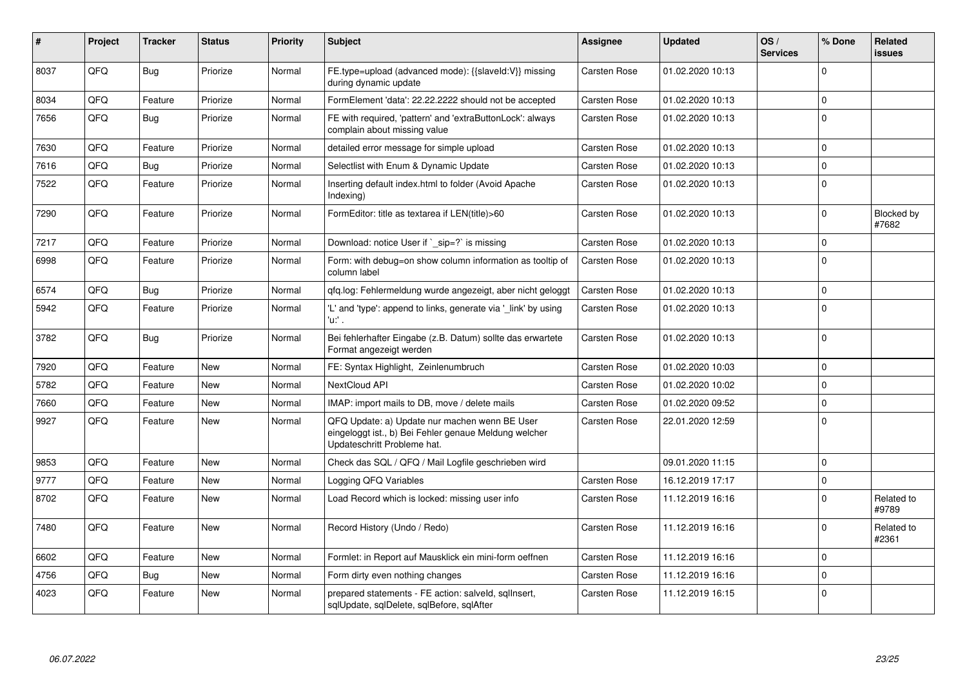| ∦    | Project | <b>Tracker</b> | <b>Status</b> | <b>Priority</b> | <b>Subject</b>                                                                                                                        | Assignee            | <b>Updated</b>   | OS/<br><b>Services</b> | % Done      | Related<br>issues   |
|------|---------|----------------|---------------|-----------------|---------------------------------------------------------------------------------------------------------------------------------------|---------------------|------------------|------------------------|-------------|---------------------|
| 8037 | QFQ     | <b>Bug</b>     | Priorize      | Normal          | FE.type=upload (advanced mode): {{slaveld:V}} missing<br>during dynamic update                                                        | Carsten Rose        | 01.02.2020 10:13 |                        | $\Omega$    |                     |
| 8034 | QFQ     | Feature        | Priorize      | Normal          | FormElement 'data': 22.22.2222 should not be accepted                                                                                 | Carsten Rose        | 01.02.2020 10:13 |                        | $\mathbf 0$ |                     |
| 7656 | QFQ     | Bug            | Priorize      | Normal          | FE with required, 'pattern' and 'extraButtonLock': always<br>complain about missing value                                             | Carsten Rose        | 01.02.2020 10:13 |                        | $\Omega$    |                     |
| 7630 | QFQ     | Feature        | Priorize      | Normal          | detailed error message for simple upload                                                                                              | Carsten Rose        | 01.02.2020 10:13 |                        | $\Omega$    |                     |
| 7616 | QFQ     | Bug            | Priorize      | Normal          | Selectlist with Enum & Dynamic Update                                                                                                 | Carsten Rose        | 01.02.2020 10:13 |                        | $\Omega$    |                     |
| 7522 | QFQ     | Feature        | Priorize      | Normal          | Inserting default index.html to folder (Avoid Apache<br>Indexing)                                                                     | <b>Carsten Rose</b> | 01.02.2020 10:13 |                        | $\mathbf 0$ |                     |
| 7290 | QFQ     | Feature        | Priorize      | Normal          | FormEditor: title as textarea if LEN(title)>60                                                                                        | Carsten Rose        | 01.02.2020 10:13 |                        | $\mathbf 0$ | Blocked by<br>#7682 |
| 7217 | QFQ     | Feature        | Priorize      | Normal          | Download: notice User if ` sip=?` is missing                                                                                          | Carsten Rose        | 01.02.2020 10:13 |                        | 0           |                     |
| 6998 | QFQ     | Feature        | Priorize      | Normal          | Form: with debug=on show column information as tooltip of<br>column label                                                             | <b>Carsten Rose</b> | 01.02.2020 10:13 |                        | $\Omega$    |                     |
| 6574 | QFQ     | Bug            | Priorize      | Normal          | gfg.log: Fehlermeldung wurde angezeigt, aber nicht geloggt                                                                            | Carsten Rose        | 01.02.2020 10:13 |                        | $\mathbf 0$ |                     |
| 5942 | QFQ     | Feature        | Priorize      | Normal          | 'L' and 'type': append to links, generate via '_link' by using<br>'u:' .                                                              | <b>Carsten Rose</b> | 01.02.2020 10:13 |                        | $\Omega$    |                     |
| 3782 | QFQ     | Bug            | Priorize      | Normal          | Bei fehlerhafter Eingabe (z.B. Datum) sollte das erwartete<br>Format angezeigt werden                                                 | Carsten Rose        | 01.02.2020 10:13 |                        | $\Omega$    |                     |
| 7920 | QFQ     | Feature        | <b>New</b>    | Normal          | FE: Syntax Highlight, Zeinlenumbruch                                                                                                  | Carsten Rose        | 01.02.2020 10:03 |                        | $\mathbf 0$ |                     |
| 5782 | QFQ     | Feature        | <b>New</b>    | Normal          | NextCloud API                                                                                                                         | <b>Carsten Rose</b> | 01.02.2020 10:02 |                        | 0           |                     |
| 7660 | QFQ     | Feature        | <b>New</b>    | Normal          | IMAP: import mails to DB, move / delete mails                                                                                         | <b>Carsten Rose</b> | 01.02.2020 09:52 |                        | $\mathbf 0$ |                     |
| 9927 | QFQ     | Feature        | <b>New</b>    | Normal          | QFQ Update: a) Update nur machen wenn BE User<br>eingeloggt ist., b) Bei Fehler genaue Meldung welcher<br>Updateschritt Probleme hat. | <b>Carsten Rose</b> | 22.01.2020 12:59 |                        | $\Omega$    |                     |
| 9853 | QFQ     | Feature        | <b>New</b>    | Normal          | Check das SQL / QFQ / Mail Logfile geschrieben wird                                                                                   |                     | 09.01.2020 11:15 |                        | $\mathbf 0$ |                     |
| 9777 | QFQ     | Feature        | <b>New</b>    | Normal          | Logging QFQ Variables                                                                                                                 | Carsten Rose        | 16.12.2019 17:17 |                        | $\pmb{0}$   |                     |
| 8702 | QFQ     | Feature        | <b>New</b>    | Normal          | Load Record which is locked: missing user info                                                                                        | Carsten Rose        | 11.12.2019 16:16 |                        | $\Omega$    | Related to<br>#9789 |
| 7480 | QFQ     | Feature        | <b>New</b>    | Normal          | Record History (Undo / Redo)                                                                                                          | Carsten Rose        | 11.12.2019 16:16 |                        | 0           | Related to<br>#2361 |
| 6602 | QFQ     | Feature        | <b>New</b>    | Normal          | Formlet: in Report auf Mausklick ein mini-form oeffnen                                                                                | Carsten Rose        | 11.12.2019 16:16 |                        | $\Omega$    |                     |
| 4756 | QFQ     | Bug            | <b>New</b>    | Normal          | Form dirty even nothing changes                                                                                                       | <b>Carsten Rose</b> | 11.12.2019 16:16 |                        | $\mathbf 0$ |                     |
| 4023 | QFQ     | Feature        | <b>New</b>    | Normal          | prepared statements - FE action: salveld, sgllnsert,<br>sqlUpdate, sqlDelete, sqlBefore, sqlAfter                                     | <b>Carsten Rose</b> | 11.12.2019 16:15 |                        | $\Omega$    |                     |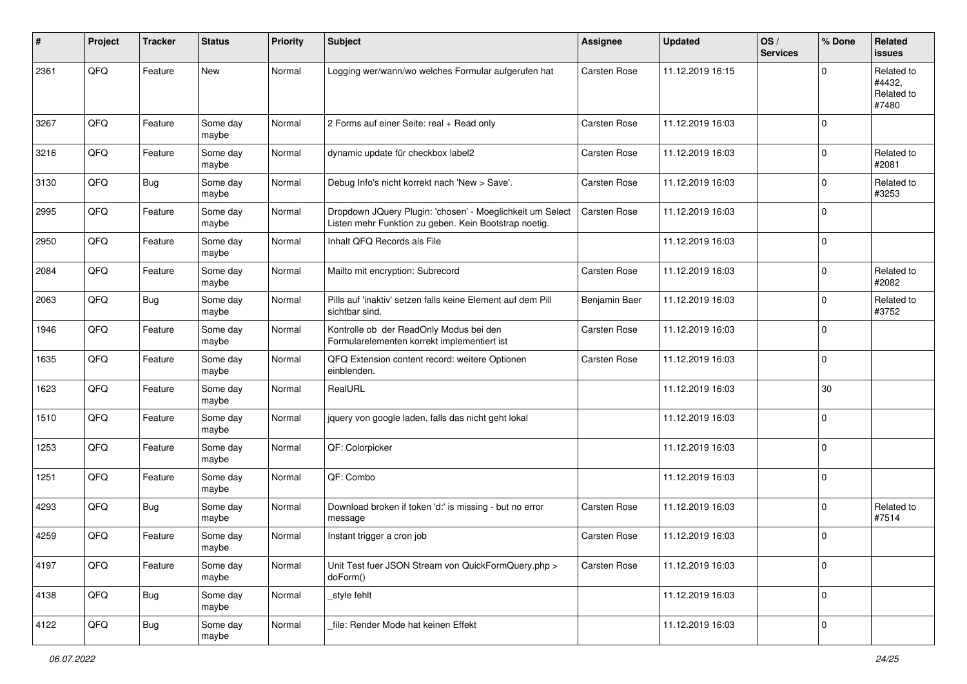| #    | Project | <b>Tracker</b> | <b>Status</b>     | <b>Priority</b> | <b>Subject</b>                                                                                                     | <b>Assignee</b>     | <b>Updated</b>   | OS/<br><b>Services</b> | % Done      | Related<br><b>issues</b>                    |
|------|---------|----------------|-------------------|-----------------|--------------------------------------------------------------------------------------------------------------------|---------------------|------------------|------------------------|-------------|---------------------------------------------|
| 2361 | QFQ     | Feature        | <b>New</b>        | Normal          | Logging wer/wann/wo welches Formular aufgerufen hat                                                                | <b>Carsten Rose</b> | 11.12.2019 16:15 |                        | $\Omega$    | Related to<br>#4432,<br>Related to<br>#7480 |
| 3267 | QFQ     | Feature        | Some day<br>maybe | Normal          | 2 Forms auf einer Seite: real + Read only                                                                          | Carsten Rose        | 11.12.2019 16:03 |                        | $\mathbf 0$ |                                             |
| 3216 | QFQ     | Feature        | Some day<br>maybe | Normal          | dynamic update für checkbox label2                                                                                 | Carsten Rose        | 11.12.2019 16:03 |                        | $\mathbf 0$ | Related to<br>#2081                         |
| 3130 | QFQ     | Bug            | Some day<br>maybe | Normal          | Debug Info's nicht korrekt nach 'New > Save'.                                                                      | Carsten Rose        | 11.12.2019 16:03 |                        | $\mathbf 0$ | Related to<br>#3253                         |
| 2995 | QFQ     | Feature        | Some day<br>maybe | Normal          | Dropdown JQuery Plugin: 'chosen' - Moeglichkeit um Select<br>Listen mehr Funktion zu geben. Kein Bootstrap noetig. | Carsten Rose        | 11.12.2019 16:03 |                        | $\Omega$    |                                             |
| 2950 | QFQ     | Feature        | Some day<br>maybe | Normal          | Inhalt QFQ Records als File                                                                                        |                     | 11.12.2019 16:03 |                        | $\mathbf 0$ |                                             |
| 2084 | QFQ     | Feature        | Some day<br>maybe | Normal          | Mailto mit encryption: Subrecord                                                                                   | Carsten Rose        | 11.12.2019 16:03 |                        | $\mathbf 0$ | Related to<br>#2082                         |
| 2063 | QFQ     | <b>Bug</b>     | Some day<br>maybe | Normal          | Pills auf 'inaktiv' setzen falls keine Element auf dem Pill<br>sichtbar sind.                                      | Benjamin Baer       | 11.12.2019 16:03 |                        | $\mathbf 0$ | Related to<br>#3752                         |
| 1946 | QFQ     | Feature        | Some day<br>maybe | Normal          | Kontrolle ob der ReadOnly Modus bei den<br>Formularelementen korrekt implementiert ist                             | Carsten Rose        | 11.12.2019 16:03 |                        | $\mathbf 0$ |                                             |
| 1635 | QFQ     | Feature        | Some day<br>maybe | Normal          | QFQ Extension content record: weitere Optionen<br>einblenden.                                                      | Carsten Rose        | 11.12.2019 16:03 |                        | $\mathbf 0$ |                                             |
| 1623 | QFQ     | Feature        | Some day<br>maybe | Normal          | RealURL                                                                                                            |                     | 11.12.2019 16:03 |                        | 30          |                                             |
| 1510 | QFQ     | Feature        | Some day<br>maybe | Normal          | jquery von google laden, falls das nicht geht lokal                                                                |                     | 11.12.2019 16:03 |                        | $\mathbf 0$ |                                             |
| 1253 | QFQ     | Feature        | Some day<br>maybe | Normal          | QF: Colorpicker                                                                                                    |                     | 11.12.2019 16:03 |                        | $\mathbf 0$ |                                             |
| 1251 | QFQ     | Feature        | Some day<br>maybe | Normal          | QF: Combo                                                                                                          |                     | 11.12.2019 16:03 |                        | $\mathbf 0$ |                                             |
| 4293 | QFQ     | Bug            | Some day<br>maybe | Normal          | Download broken if token 'd:' is missing - but no error<br>message                                                 | <b>Carsten Rose</b> | 11.12.2019 16:03 |                        | $\mathbf 0$ | Related to<br>#7514                         |
| 4259 | QFQ     | Feature        | Some day<br>maybe | Normal          | Instant trigger a cron job                                                                                         | Carsten Rose        | 11.12.2019 16:03 |                        | $\mathbf 0$ |                                             |
| 4197 | QFQ     | Feature        | Some day<br>maybe | Normal          | Unit Test fuer JSON Stream von QuickFormQuery.php ><br>doForm()                                                    | Carsten Rose        | 11.12.2019 16:03 |                        | 0           |                                             |
| 4138 | QFQ     | <b>Bug</b>     | Some day<br>maybe | Normal          | style fehlt                                                                                                        |                     | 11.12.2019 16:03 |                        | 0           |                                             |
| 4122 | QFQ     | <b>Bug</b>     | Some day<br>maybe | Normal          | file: Render Mode hat keinen Effekt                                                                                |                     | 11.12.2019 16:03 |                        | 0           |                                             |